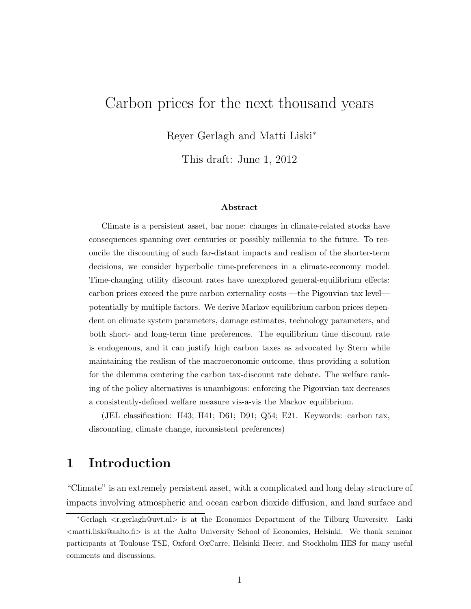# Carbon prices for the next thousand years

Reyer Gerlagh and Matti Liski<sup>∗</sup>

This draft: June 1, 2012

#### Abstract

Climate is a persistent asset, bar none: changes in climate-related stocks have consequences spanning over centuries or possibly millennia to the future. To reconcile the discounting of such far-distant impacts and realism of the shorter-term decisions, we consider hyperbolic time-preferences in a climate-economy model. Time-changing utility discount rates have unexplored general-equilibrium effects: carbon prices exceed the pure carbon externality costs —the Pigouvian tax level potentially by multiple factors. We derive Markov equilibrium carbon prices dependent on climate system parameters, damage estimates, technology parameters, and both short- and long-term time preferences. The equilibrium time discount rate is endogenous, and it can justify high carbon taxes as advocated by Stern while maintaining the realism of the macroeconomic outcome, thus providing a solution for the dilemma centering the carbon tax-discount rate debate. The welfare ranking of the policy alternatives is unambigous: enforcing the Pigouvian tax decreases a consistently-defined welfare measure vis-a-vis the Markov equilibrium.

(JEL classification: H43; H41; D61; D91; Q54; E21. Keywords: carbon tax, discounting, climate change, inconsistent preferences)

# 1 Introduction

"Climate" is an extremely persistent asset, with a complicated and long delay structure of impacts involving atmospheric and ocean carbon dioxide diffusion, and land surface and

<sup>∗</sup>Gerlagh <r.gerlagh@uvt.nl> is at the Economics Department of the Tilburg University. Liski  $\zeta$ matti.liski@aalto.fi> is at the Aalto University School of Economics, Helsinki. We thank seminar participants at Toulouse TSE, Oxford OxCarre, Helsinki Hecer, and Stockholm IIES for many useful comments and discussions.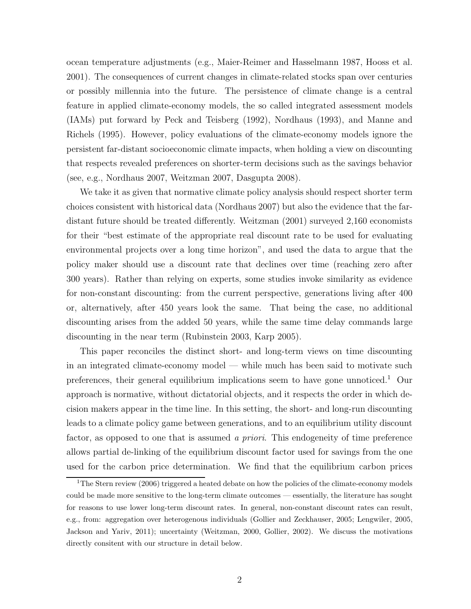ocean temperature adjustments (e.g., Maier-Reimer and Hasselmann 1987, Hooss et al. 2001). The consequences of current changes in climate-related stocks span over centuries or possibly millennia into the future. The persistence of climate change is a central feature in applied climate-economy models, the so called integrated assessment models (IAMs) put forward by Peck and Teisberg (1992), Nordhaus (1993), and Manne and Richels (1995). However, policy evaluations of the climate-economy models ignore the persistent far-distant socioeconomic climate impacts, when holding a view on discounting that respects revealed preferences on shorter-term decisions such as the savings behavior (see, e.g., Nordhaus 2007, Weitzman 2007, Dasgupta 2008).

We take it as given that normative climate policy analysis should respect shorter term choices consistent with historical data (Nordhaus 2007) but also the evidence that the fardistant future should be treated differently. Weitzman (2001) surveyed 2,160 economists for their "best estimate of the appropriate real discount rate to be used for evaluating environmental projects over a long time horizon", and used the data to argue that the policy maker should use a discount rate that declines over time (reaching zero after 300 years). Rather than relying on experts, some studies invoke similarity as evidence for non-constant discounting: from the current perspective, generations living after 400 or, alternatively, after 450 years look the same. That being the case, no additional discounting arises from the added 50 years, while the same time delay commands large discounting in the near term (Rubinstein 2003, Karp 2005).

This paper reconciles the distinct short- and long-term views on time discounting in an integrated climate-economy model — while much has been said to motivate such preferences, their general equilibrium implications seem to have gone unnoticed.<sup>1</sup> Our approach is normative, without dictatorial objects, and it respects the order in which decision makers appear in the time line. In this setting, the short- and long-run discounting leads to a climate policy game between generations, and to an equilibrium utility discount factor, as opposed to one that is assumed a priori. This endogeneity of time preference allows partial de-linking of the equilibrium discount factor used for savings from the one used for the carbon price determination. We find that the equilibrium carbon prices

<sup>&</sup>lt;sup>1</sup>The Stern review (2006) triggered a heated debate on how the policies of the climate-economy models could be made more sensitive to the long-term climate outcomes — essentially, the literature has sought for reasons to use lower long-term discount rates. In general, non-constant discount rates can result, e.g., from: aggregation over heterogenous individuals (Gollier and Zeckhauser, 2005; Lengwiler, 2005, Jackson and Yariv, 2011); uncertainty (Weitzman, 2000, Gollier, 2002). We discuss the motivations directly consitent with our structure in detail below.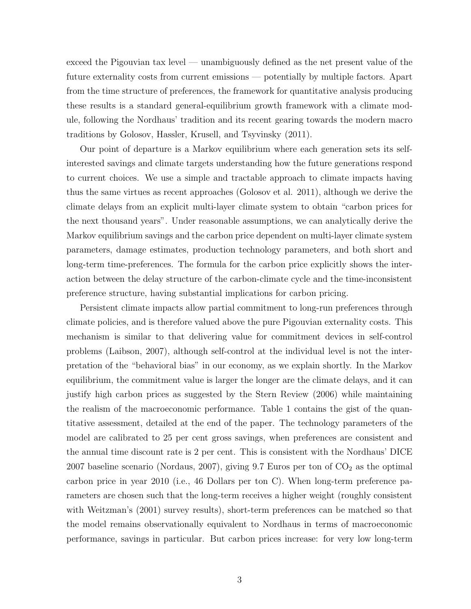exceed the Pigouvian tax level — unambiguously defined as the net present value of the future externality costs from current emissions — potentially by multiple factors. Apart from the time structure of preferences, the framework for quantitative analysis producing these results is a standard general-equilibrium growth framework with a climate module, following the Nordhaus' tradition and its recent gearing towards the modern macro traditions by Golosov, Hassler, Krusell, and Tsyvinsky (2011).

Our point of departure is a Markov equilibrium where each generation sets its selfinterested savings and climate targets understanding how the future generations respond to current choices. We use a simple and tractable approach to climate impacts having thus the same virtues as recent approaches (Golosov et al. 2011), although we derive the climate delays from an explicit multi-layer climate system to obtain "carbon prices for the next thousand years". Under reasonable assumptions, we can analytically derive the Markov equilibrium savings and the carbon price dependent on multi-layer climate system parameters, damage estimates, production technology parameters, and both short and long-term time-preferences. The formula for the carbon price explicitly shows the interaction between the delay structure of the carbon-climate cycle and the time-inconsistent preference structure, having substantial implications for carbon pricing.

Persistent climate impacts allow partial commitment to long-run preferences through climate policies, and is therefore valued above the pure Pigouvian externality costs. This mechanism is similar to that delivering value for commitment devices in self-control problems (Laibson, 2007), although self-control at the individual level is not the interpretation of the "behavioral bias" in our economy, as we explain shortly. In the Markov equilibrium, the commitment value is larger the longer are the climate delays, and it can justify high carbon prices as suggested by the Stern Review (2006) while maintaining the realism of the macroeconomic performance. Table 1 contains the gist of the quantitative assessment, detailed at the end of the paper. The technology parameters of the model are calibrated to 25 per cent gross savings, when preferences are consistent and the annual time discount rate is 2 per cent. This is consistent with the Nordhaus' DICE 2007 baseline scenario (Nordaus, 2007), giving 9.7 Euros per ton of  $CO<sub>2</sub>$  as the optimal carbon price in year 2010 (i.e., 46 Dollars per ton C). When long-term preference parameters are chosen such that the long-term receives a higher weight (roughly consistent with Weitzman's (2001) survey results), short-term preferences can be matched so that the model remains observationally equivalent to Nordhaus in terms of macroeconomic performance, savings in particular. But carbon prices increase: for very low long-term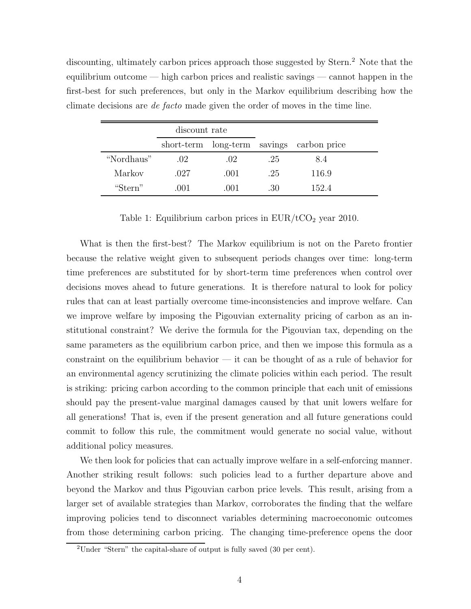discounting, ultimately carbon prices approach those suggested by Stern.<sup>2</sup> Note that the equilibrium outcome — high carbon prices and realistic savings — cannot happen in the first-best for such preferences, but only in the Markov equilibrium describing how the climate decisions are de facto made given the order of moves in the time line.

|            | discount rate |       |     |                                |
|------------|---------------|-------|-----|--------------------------------|
|            | short-term    |       |     | long-term savings carbon price |
| "Nordhaus" | .02           | .02   | .25 | 8.4                            |
| Markov     | .027          | .001  | .25 | 116.9                          |
| "Stern"    | (001          | (101) | .30 | 152.4                          |

Table 1: Equilibrium carbon prices in  $EUR/ tCO<sub>2</sub>$  year 2010.

What is then the first-best? The Markov equilibrium is not on the Pareto frontier because the relative weight given to subsequent periods changes over time: long-term time preferences are substituted for by short-term time preferences when control over decisions moves ahead to future generations. It is therefore natural to look for policy rules that can at least partially overcome time-inconsistencies and improve welfare. Can we improve welfare by imposing the Pigouvian externality pricing of carbon as an institutional constraint? We derive the formula for the Pigouvian tax, depending on the same parameters as the equilibrium carbon price, and then we impose this formula as a constraint on the equilibrium behavior  $-$  it can be thought of as a rule of behavior for an environmental agency scrutinizing the climate policies within each period. The result is striking: pricing carbon according to the common principle that each unit of emissions should pay the present-value marginal damages caused by that unit lowers welfare for all generations! That is, even if the present generation and all future generations could commit to follow this rule, the commitment would generate no social value, without additional policy measures.

We then look for policies that can actually improve welfare in a self-enforcing manner. Another striking result follows: such policies lead to a further departure above and beyond the Markov and thus Pigouvian carbon price levels. This result, arising from a larger set of available strategies than Markov, corroborates the finding that the welfare improving policies tend to disconnect variables determining macroeconomic outcomes from those determining carbon pricing. The changing time-preference opens the door

<sup>2</sup>Under "Stern" the capital-share of output is fully saved (30 per cent).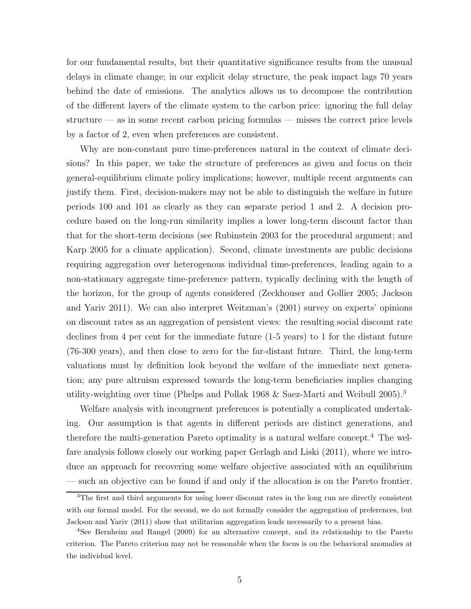for our fundamental results, but their quantitative significance results from the unusual delays in climate change; in our explicit delay structure, the peak impact lags 70 years behind the date of emissions. The analytics allows us to decompose the contribution of the different layers of the climate system to the carbon price: ignoring the full delay structure — as in some recent carbon pricing formulas — misses the correct price levels by a factor of 2, even when preferences are consistent.

Why are non-constant pure time-preferences natural in the context of climate decisions? In this paper, we take the structure of preferences as given and focus on their general-equilibrium climate policy implications; however, multiple recent arguments can justify them. First, decision-makers may not be able to distinguish the welfare in future periods 100 and 101 as clearly as they can separate period 1 and 2. A decision procedure based on the long-run similarity implies a lower long-term discount factor than that for the short-term decisions (see Rubinstein 2003 for the procedural argument; and Karp 2005 for a climate application). Second, climate investments are public decisions requiring aggregation over heterogenous individual time-preferences, leading again to a non-stationary aggregate time-preference pattern, typically declining with the length of the horizon, for the group of agents considered (Zeckhouser and Gollier 2005; Jackson and Yariv 2011). We can also interpret Weitzman's (2001) survey on experts' opinions on discount rates as an aggregation of persistent views: the resulting social discount rate declines from 4 per cent for the immediate future (1-5 years) to 1 for the distant future (76-300 years), and then close to zero for the far-distant future. Third, the long-term valuations must by definition look beyond the welfare of the immediate next generation; any pure altruism expressed towards the long-term beneficiaries implies changing utility-weighting over time (Phelps and Pollak 1968 & Saez-Marti and Weibull 2005).<sup>3</sup>

Welfare analysis with incongruent preferences is potentially a complicated undertaking. Our assumption is that agents in different periods are distinct generations, and therefore the multi-generation Pareto optimality is a natural welfare concept.<sup>4</sup> The welfare analysis follows closely our working paper Gerlagh and Liski (2011), where we introduce an approach for recovering some welfare objective associated with an equilibrium — such an objective can be found if and only if the allocation is on the Pareto frontier.

<sup>&</sup>lt;sup>3</sup>The first and third arguments for using lower discount rates in the long run are directly consistent with our formal model. For the second, we do not formally consider the aggregation of preferences, but Jackson and Yariv (2011) show that utilitarian aggregation leads necessarily to a present bias.

<sup>4</sup>See Bernheim and Rangel (2009) for an alternative concept, and its relationship to the Pareto criterion. The Pareto criterion may not be reasonable when the focus is on the behavioral anomalies at the individual level.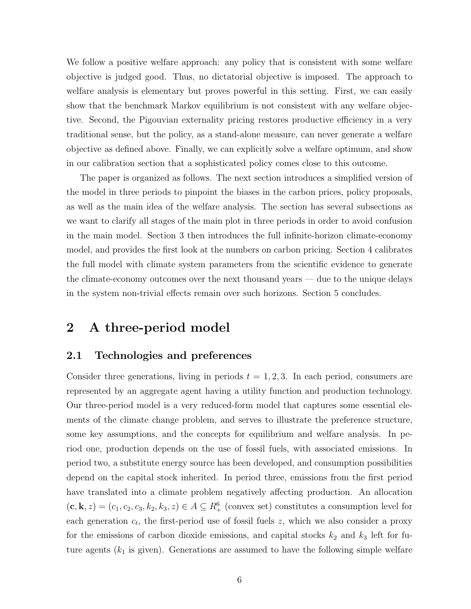We follow a positive welfare approach: any policy that is consistent with some welfare objective is judged good. Thus, no dictatorial objective is imposed. The approach to welfare analysis is elementary but proves powerful in this setting. First, we can easily show that the benchmark Markov equilibrium is not consistent with any welfare objective. Second, the Pigouvian externality pricing restores productive efficiency in a very traditional sense, but the policy, as a stand-alone measure, can never generate a welfare objective as defined above. Finally, we can explicitly solve a welfare optimum, and show in our calibration section that a sophisticated policy comes close to this outcome.

The paper is organized as follows. The next section introduces a simplified version of the model in three periods to pinpoint the biases in the carbon prices, policy proposals, as well as the main idea of the welfare analysis. The section has several subsections as we want to clarify all stages of the main plot in three periods in order to avoid confusion in the main model. Section 3 then introduces the full infinite-horizon climate-economy model, and provides the first look at the numbers on carbon pricing. Section 4 calibrates the full model with climate system parameters from the scientific evidence to generate the climate-economy outcomes over the next thousand years — due to the unique delays in the system non-trivial effects remain over such horizons. Section 5 concludes.

# 2 A three-period model

#### 2.1 Technologies and preferences

Consider three generations, living in periods  $t = 1, 2, 3$ . In each period, consumers are represented by an aggregate agent having a utility function and production technology. Our three-period model is a very reduced-form model that captures some essential elements of the climate change problem, and serves to illustrate the preference structure, some key assumptions, and the concepts for equilibrium and welfare analysis. In period one, production depends on the use of fossil fuels, with associated emissions. In period two, a substitute energy source has been developed, and consumption possibilities depend on the capital stock inherited. In period three, emissions from the first period have translated into a climate problem negatively affecting production. An allocation  $(c, \mathbf{k}, z) = (c_1, c_2, c_3, k_2, k_3, z) \in A \subseteq R_+^6$  (convex set) constitutes a consumption level for each generation  $c_t$ , the first-period use of fossil fuels z, which we also consider a proxy for the emissions of carbon dioxide emissions, and capital stocks  $k_2$  and  $k_3$  left for future agents  $(k_1$  is given). Generations are assumed to have the following simple welfare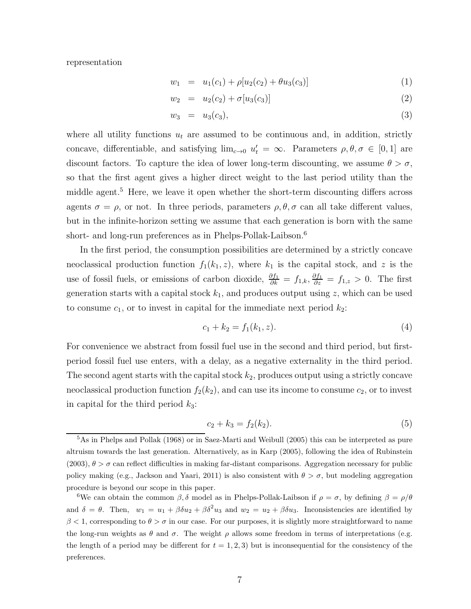representation

$$
w_1 = u_1(c_1) + \rho[u_2(c_2) + \theta u_3(c_3)] \tag{1}
$$

$$
w_2 = u_2(c_2) + \sigma[u_3(c_3)] \tag{2}
$$

$$
w_3 = u_3(c_3), \t\t(3)
$$

where all utility functions  $u_t$  are assumed to be continuous and, in addition, strictly concave, differentiable, and satisfying  $\lim_{c\to 0} u'_t = \infty$ . Parameters  $\rho, \theta, \sigma \in [0, 1]$  are discount factors. To capture the idea of lower long-term discounting, we assume  $\theta > \sigma$ , so that the first agent gives a higher direct weight to the last period utility than the middle agent.<sup>5</sup> Here, we leave it open whether the short-term discounting differs across agents  $\sigma = \rho$ , or not. In three periods, parameters  $\rho, \theta, \sigma$  can all take different values, but in the infinite-horizon setting we assume that each generation is born with the same short- and long-run preferences as in Phelps-Pollak-Laibson.<sup>6</sup>

In the first period, the consumption possibilities are determined by a strictly concave neoclassical production function  $f_1(k_1, z)$ , where  $k_1$  is the capital stock, and z is the use of fossil fuels, or emissions of carbon dioxide,  $\frac{\partial f_1}{\partial k} = f_{1,k}, \frac{\partial f_1}{\partial z} = f_{1,z} > 0$ . The first generation starts with a capital stock  $k_1$ , and produces output using z, which can be used to consume  $c_1$ , or to invest in capital for the immediate next period  $k_2$ :

$$
c_1 + k_2 = f_1(k_1, z). \tag{4}
$$

For convenience we abstract from fossil fuel use in the second and third period, but firstperiod fossil fuel use enters, with a delay, as a negative externality in the third period. The second agent starts with the capital stock  $k_2$ , produces output using a strictly concave neoclassical production function  $f_2(k_2)$ , and can use its income to consume  $c_2$ , or to invest in capital for the third period  $k_3$ :

$$
c_2 + k_3 = f_2(k_2). \tag{5}
$$

<sup>5</sup>As in Phelps and Pollak (1968) or in Saez-Marti and Weibull (2005) this can be interpreted as pure altruism towards the last generation. Alternatively, as in Karp (2005), following the idea of Rubinstein  $(2003)$ ,  $\theta > \sigma$  can reflect difficulties in making far-distant comparisons. Aggregation necessary for public policy making (e.g., Jackson and Yaari, 2011) is also consistent with  $\theta > \sigma$ , but modeling aggregation procedure is beyond our scope in this paper.

<sup>&</sup>lt;sup>6</sup>We can obtain the common  $\beta$ ,  $\delta$  model as in Phelps-Pollak-Laibson if  $\rho = \sigma$ , by defining  $\beta = \rho/\theta$ and  $\delta = \theta$ . Then,  $w_1 = u_1 + \beta \delta u_2 + \beta \delta^2 u_3$  and  $w_2 = u_2 + \beta \delta u_3$ . Inconsistencies are identified by  $\beta$  < 1, corresponding to  $\theta > \sigma$  in our case. For our purposes, it is slightly more straightforward to name the long-run weights as  $\theta$  and  $\sigma$ . The weight  $\rho$  allows some freedom in terms of interpretations (e.g. the length of a period may be different for  $t = 1, 2, 3$  but is inconsequential for the consistency of the preferences.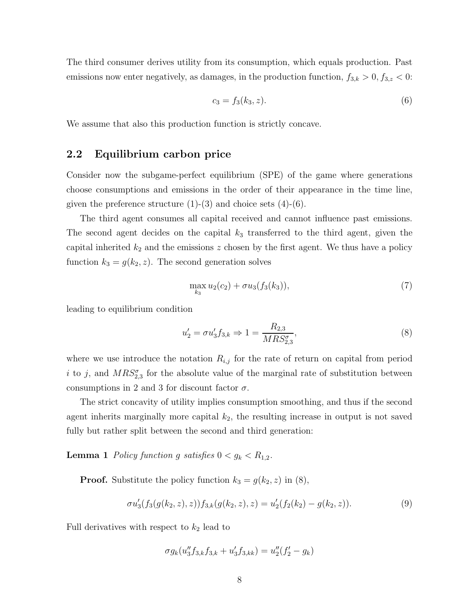The third consumer derives utility from its consumption, which equals production. Past emissions now enter negatively, as damages, in the production function,  $f_{3,k} > 0, f_{3,z} < 0$ :

$$
c_3 = f_3(k_3, z). \tag{6}
$$

We assume that also this production function is strictly concave.

## 2.2 Equilibrium carbon price

Consider now the subgame-perfect equilibrium (SPE) of the game where generations choose consumptions and emissions in the order of their appearance in the time line, given the preference structure  $(1)-(3)$  and choice sets  $(4)-(6)$ .

The third agent consumes all capital received and cannot influence past emissions. The second agent decides on the capital  $k_3$  transferred to the third agent, given the capital inherited  $k_2$  and the emissions z chosen by the first agent. We thus have a policy function  $k_3 = g(k_2, z)$ . The second generation solves

$$
\max_{k_3} u_2(c_2) + \sigma u_3(f_3(k_3)),\tag{7}
$$

leading to equilibrium condition

$$
u_2' = \sigma u_3' f_{3,k} \Rightarrow 1 = \frac{R_{2,3}}{M R S_{2,3}^{\sigma}},\tag{8}
$$

where we use introduce the notation  $R_{i,j}$  for the rate of return on capital from period i to j, and  $MRS^{\sigma}_{2,3}$  for the absolute value of the marginal rate of substitution between consumptions in 2 and 3 for discount factor  $\sigma$ .

The strict concavity of utility implies consumption smoothing, and thus if the second agent inherits marginally more capital  $k_2$ , the resulting increase in output is not saved fully but rather split between the second and third generation:

**Lemma 1** Policy function g satisfies  $0 < g_k < R_{1,2}$ .

**Proof.** Substitute the policy function  $k_3 = g(k_2, z)$  in (8),

$$
\sigma u_3'(f_3(g(k_2, z), z))f_{3,k}(g(k_2, z), z) = u_2'(f_2(k_2) - g(k_2, z)).
$$
\n(9)

Full derivatives with respect to  $k_2$  lead to

$$
\sigma g_k(u_3''f_{3,k}f_{3,k} + u_3'f_{3,kk}) = u_2''(f_2' - g_k)
$$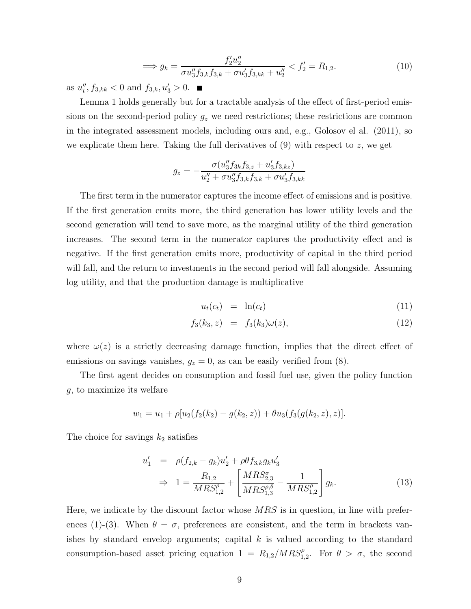$$
\implies g_k = \frac{f_2' u_2''}{\sigma u_3'' f_{3,k} f_{3,k} + \sigma u_3' f_{3,k,k} + u_2''} < f_2' = R_{1,2}.\tag{10}
$$

as  $u''_t, f_{3,kk} < 0$  and  $f_{3,k}, u'_3 > 0$ .

Lemma 1 holds generally but for a tractable analysis of the effect of first-period emissions on the second-period policy  $g_z$  we need restrictions; these restrictions are common in the integrated assessment models, including ours and, e.g., Golosov el al. (2011), so we explicate them here. Taking the full derivatives of  $(9)$  with respect to z, we get

$$
g_z = -\frac{\sigma(u_3'' f_{3k} f_{3,z} + u_3' f_{3,kz})}{u_2'' + \sigma u_3'' f_{3,k} f_{3,k} + \sigma u_3' f_{3,kk}}
$$

The first term in the numerator captures the income effect of emissions and is positive. If the first generation emits more, the third generation has lower utility levels and the second generation will tend to save more, as the marginal utility of the third generation increases. The second term in the numerator captures the productivity effect and is negative. If the first generation emits more, productivity of capital in the third period will fall, and the return to investments in the second period will fall alongside. Assuming log utility, and that the production damage is multiplicative

$$
u_t(c_t) = \ln(c_t) \tag{11}
$$

$$
f_3(k_3, z) = f_3(k_3)\omega(z), \tag{12}
$$

where  $\omega(z)$  is a strictly decreasing damage function, implies that the direct effect of emissions on savings vanishes,  $g_z = 0$ , as can be easily verified from (8).

The first agent decides on consumption and fossil fuel use, given the policy function g, to maximize its welfare

$$
w_1 = u_1 + \rho[u_2(f_2(k_2) - g(k_2, z)) + \theta u_3(f_3(g(k_2, z), z)].
$$

The choice for savings  $k_2$  satisfies

$$
u'_{1} = \rho(f_{2,k} - g_{k})u'_{2} + \rho \theta f_{3,k} g_{k} u'_{3}
$$
  
\n
$$
\Rightarrow 1 = \frac{R_{1,2}}{MRS_{1,2}^{\rho}} + \left[\frac{MRS_{2,3}^{\sigma}}{MRS_{1,3}^{\rho,\theta}} - \frac{1}{MRS_{1,2}^{\rho}}\right] g_{k}.
$$
\n(13)

Here, we indicate by the discount factor whose  $MRS$  is in question, in line with preferences (1)-(3). When  $\theta = \sigma$ , preferences are consistent, and the term in brackets vanishes by standard envelop arguments; capital  $k$  is valued according to the standard consumption-based asset pricing equation  $1 = R_{1,2}/MRS_{1,2}^{\rho}$ . For  $\theta > \sigma$ , the second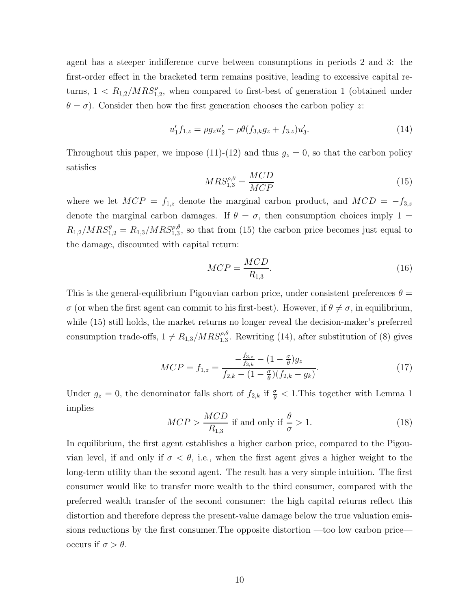agent has a steeper indifference curve between consumptions in periods 2 and 3: the first-order effect in the bracketed term remains positive, leading to excessive capital returns,  $1 < R_{1,2}/MRS^{\rho}_{1,2}$ , when compared to first-best of generation 1 (obtained under  $\theta = \sigma$ ). Consider then how the first generation chooses the carbon policy z:

$$
u'_1 f_{1,z} = \rho g_z u'_2 - \rho \theta (f_{3,k} g_z + f_{3,z}) u'_3. \tag{14}
$$

Throughout this paper, we impose (11)-(12) and thus  $g_z = 0$ , so that the carbon policy satisfies

$$
MRS_{1,3}^{\rho,\theta} = \frac{MCD}{MCP}
$$
\n(15)

where we let  $MCP = f_{1,z}$  denote the marginal carbon product, and  $MCD = -f_{3,z}$ denote the marginal carbon damages. If  $\theta = \sigma$ , then consumption choices imply 1 =  $R_{1,2}/MRS_{1,2}^{\theta} = R_{1,3}/MRS_{1,3}^{\rho,\theta}$ , so that from (15) the carbon price becomes just equal to the damage, discounted with capital return:

$$
MCP = \frac{MCD}{R_{1,3}}.\t(16)
$$

This is the general-equilibrium Pigouvian carbon price, under consistent preferences  $\theta =$  $\sigma$  (or when the first agent can commit to his first-best). However, if  $\theta \neq \sigma$ , in equilibrium, while (15) still holds, the market returns no longer reveal the decision-maker's preferred consumption trade-offs,  $1 \neq R_{1,3}/MRS_{1,3}^{\rho,\theta}$ . Rewriting (14), after substitution of (8) gives

$$
MCP = f_{1,z} = \frac{-\frac{f_{3,z}}{f_{3,k}} - (1 - \frac{\sigma}{\theta})g_z}{f_{2,k} - (1 - \frac{\sigma}{\theta})(f_{2,k} - g_k)}.
$$
(17)

Under  $g_z = 0$ , the denominator falls short of  $f_{2,k}$  if  $\frac{\sigma}{\theta} < 1$ . This together with Lemma 1 implies

$$
MCP > \frac{MCD}{R_{1,3}} \text{ if and only if } \frac{\theta}{\sigma} > 1. \tag{18}
$$

In equilibrium, the first agent establishes a higher carbon price, compared to the Pigouvian level, if and only if  $\sigma < \theta$ , i.e., when the first agent gives a higher weight to the long-term utility than the second agent. The result has a very simple intuition. The first consumer would like to transfer more wealth to the third consumer, compared with the preferred wealth transfer of the second consumer: the high capital returns reflect this distortion and therefore depress the present-value damage below the true valuation emissions reductions by the first consumer.The opposite distortion —too low carbon price occurs if  $\sigma > \theta$ .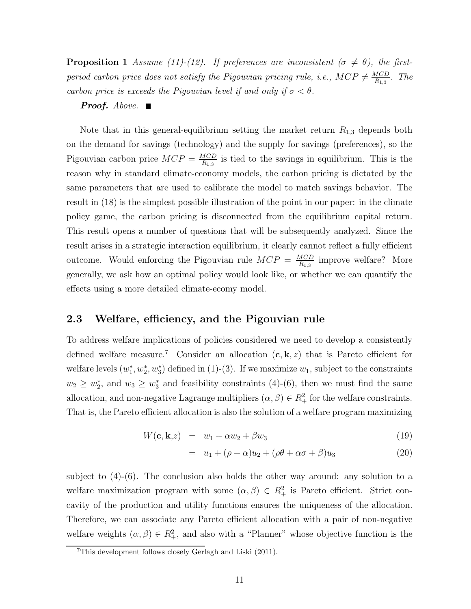**Proposition 1** Assume (11)-(12). If preferences are inconsistent ( $\sigma \neq \theta$ ), the firstperiod carbon price does not satisfy the Pigouvian pricing rule, i.e.,  $MCP \neq \frac{MCD}{R_{1,3}}$  $\frac{MCD}{R_{1,3}}$ . The carbon price is exceeds the Pigouvian level if and only if  $\sigma < \theta$ .

#### **Proof.** Above.  $\blacksquare$

Note that in this general-equilibrium setting the market return  $R_{1,3}$  depends both on the demand for savings (technology) and the supply for savings (preferences), so the Pigouvian carbon price  $MCP = \frac{MCD}{B_{1,2}}$  $\frac{MCD}{R_{1,3}}$  is tied to the savings in equilibrium. This is the reason why in standard climate-economy models, the carbon pricing is dictated by the same parameters that are used to calibrate the model to match savings behavior. The result in (18) is the simplest possible illustration of the point in our paper: in the climate policy game, the carbon pricing is disconnected from the equilibrium capital return. This result opens a number of questions that will be subsequently analyzed. Since the result arises in a strategic interaction equilibrium, it clearly cannot reflect a fully efficient outcome. Would enforcing the Pigouvian rule  $MCP = \frac{MCD}{B_{1,0}}$  $\frac{MCD}{R_{1,3}}$  improve welfare? More generally, we ask how an optimal policy would look like, or whether we can quantify the effects using a more detailed climate-ecomy model.

## 2.3 Welfare, efficiency, and the Pigouvian rule

To address welfare implications of policies considered we need to develop a consistently defined welfare measure.<sup>7</sup> Consider an allocation  $(c, k, z)$  that is Pareto efficient for welfare levels  $(w_1^*, w_2^*, w_3^*)$  defined in (1)-(3). If we maximize  $w_1$ , subject to the constraints  $w_2 \geq w_2^*$ , and  $w_3 \geq w_3^*$  and feasibility constraints (4)-(6), then we must find the same allocation, and non-negative Lagrange multipliers  $(\alpha, \beta) \in R_+^2$  for the welfare constraints. That is, the Pareto efficient allocation is also the solution of a welfare program maximizing

$$
W(\mathbf{c}, \mathbf{k}, z) = w_1 + \alpha w_2 + \beta w_3 \tag{19}
$$

$$
= u_1 + (\rho + \alpha)u_2 + (\rho\theta + \alpha\sigma + \beta)u_3 \tag{20}
$$

subject to (4)-(6). The conclusion also holds the other way around: any solution to a welfare maximization program with some  $(\alpha, \beta) \in R^2_+$  is Pareto efficient. Strict concavity of the production and utility functions ensures the uniqueness of the allocation. Therefore, we can associate any Pareto efficient allocation with a pair of non-negative welfare weights  $(\alpha, \beta) \in R_+^2$ , and also with a "Planner" whose objective function is the

<sup>7</sup>This development follows closely Gerlagh and Liski (2011).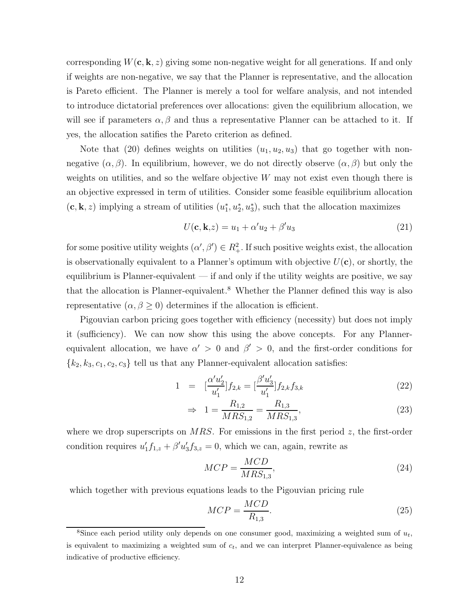corresponding  $W(c, \mathbf{k}, z)$  giving some non-negative weight for all generations. If and only if weights are non-negative, we say that the Planner is representative, and the allocation is Pareto efficient. The Planner is merely a tool for welfare analysis, and not intended to introduce dictatorial preferences over allocations: given the equilibrium allocation, we will see if parameters  $\alpha, \beta$  and thus a representative Planner can be attached to it. If yes, the allocation satifies the Pareto criterion as defined.

Note that (20) defines weights on utilities  $(u_1, u_2, u_3)$  that go together with nonnegative  $(\alpha, \beta)$ . In equilibrium, however, we do not directly observe  $(\alpha, \beta)$  but only the weights on utilities, and so the welfare objective  $W$  may not exist even though there is an objective expressed in term of utilities. Consider some feasible equilibrium allocation  $(c, k, z)$  implying a stream of utilities  $(u_1^*, u_2^*, u_3^*)$ , such that the allocation maximizes

$$
U(\mathbf{c}, \mathbf{k}, z) = u_1 + \alpha' u_2 + \beta' u_3 \tag{21}
$$

for some positive utility weights  $(\alpha', \beta') \in R_+^2$ . If such positive weights exist, the allocation is observationally equivalent to a Planner's optimum with objective  $U(\mathbf{c})$ , or shortly, the equilibrium is Planner-equivalent  $-$  if and only if the utility weights are positive, we say that the allocation is Planner-equivalent.<sup>8</sup> Whether the Planner defined this way is also representative  $(\alpha, \beta \geq 0)$  determines if the allocation is efficient.

Pigouvian carbon pricing goes together with efficiency (necessity) but does not imply it (sufficiency). We can now show this using the above concepts. For any Plannerequivalent allocation, we have  $\alpha' > 0$  and  $\beta' > 0$ , and the first-order conditions for  ${k_2, k_3, c_1, c_2, c_3}$  tell us that any Planner-equivalent allocation satisfies:

$$
1 = \left[\frac{\alpha'u_2'}{u_1'}\right]f_{2,k} = \left[\frac{\beta'u_3'}{u_1'}\right]f_{2,k}f_{3,k} \tag{22}
$$

$$
\Rightarrow 1 = \frac{R_{1,2}}{MRS_{1,2}} = \frac{R_{1,3}}{MRS_{1,3}},\tag{23}
$$

where we drop superscripts on  $MRS$ . For emissions in the first period z, the first-order condition requires  $u'_1 f_{1,z} + \beta' u'_3 f_{3,z} = 0$ , which we can, again, rewrite as

$$
MCP = \frac{MCD}{MRS_{1,3}},\tag{24}
$$

which together with previous equations leads to the Pigouvian pricing rule

$$
MCP = \frac{MCD}{R_{1,3}}.\t(25)
$$

<sup>&</sup>lt;sup>8</sup>Since each period utility only depends on one consumer good, maximizing a weighted sum of  $u_t$ , is equivalent to maximizing a weighted sum of  $c_t$ , and we can interpret Planner-equivalence as being indicative of productive efficiency.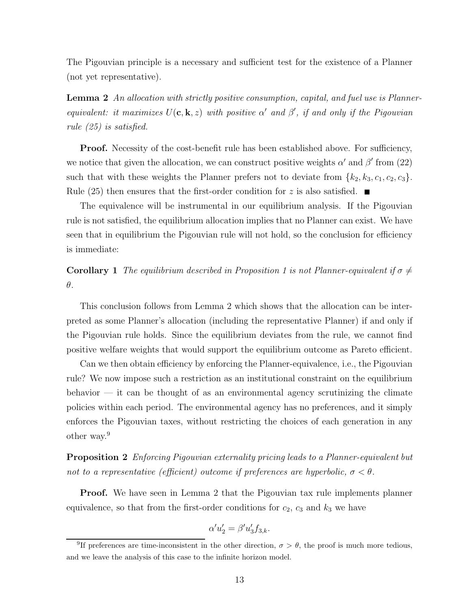The Pigouvian principle is a necessary and sufficient test for the existence of a Planner (not yet representative).

Lemma 2 An allocation with strictly positive consumption, capital, and fuel use is Plannerequivalent: it maximizes  $U(c, \mathbf{k}, z)$  with positive  $\alpha'$  and  $\beta'$ , if and only if the Pigouvian rule (25) is satisfied.

**Proof.** Necessity of the cost-benefit rule has been established above. For sufficiency, we notice that given the allocation, we can construct positive weights  $\alpha'$  and  $\beta'$  from (22) such that with these weights the Planner prefers not to deviate from  $\{k_2, k_3, c_1, c_2, c_3\}$ . Rule (25) then ensures that the first-order condition for z is also satisfied.  $\blacksquare$ 

The equivalence will be instrumental in our equilibrium analysis. If the Pigouvian rule is not satisfied, the equilibrium allocation implies that no Planner can exist. We have seen that in equilibrium the Pigouvian rule will not hold, so the conclusion for efficiency is immediate:

**Corollary 1** The equilibrium described in Proposition 1 is not Planner-equivalent if  $\sigma \neq$ θ.

This conclusion follows from Lemma 2 which shows that the allocation can be interpreted as some Planner's allocation (including the representative Planner) if and only if the Pigouvian rule holds. Since the equilibrium deviates from the rule, we cannot find positive welfare weights that would support the equilibrium outcome as Pareto efficient.

Can we then obtain efficiency by enforcing the Planner-equivalence, i.e., the Pigouvian rule? We now impose such a restriction as an institutional constraint on the equilibrium behavior  $-$  it can be thought of as an environmental agency scrutinizing the climate policies within each period. The environmental agency has no preferences, and it simply enforces the Pigouvian taxes, without restricting the choices of each generation in any other way.<sup>9</sup>

Proposition 2 Enforcing Pigouvian externality pricing leads to a Planner-equivalent but not to a representative (efficient) outcome if preferences are hyperbolic,  $\sigma < \theta$ .

**Proof.** We have seen in Lemma 2 that the Pigouvian tax rule implements planner equivalence, so that from the first-order conditions for  $c_2$ ,  $c_3$  and  $k_3$  we have

$$
\alpha'u_2' = \beta'u_3'f_{3,k}.
$$

<sup>&</sup>lt;sup>9</sup>If preferences are time-inconsistent in the other direction,  $\sigma > \theta$ , the proof is much more tedious, and we leave the analysis of this case to the infinite horizon model.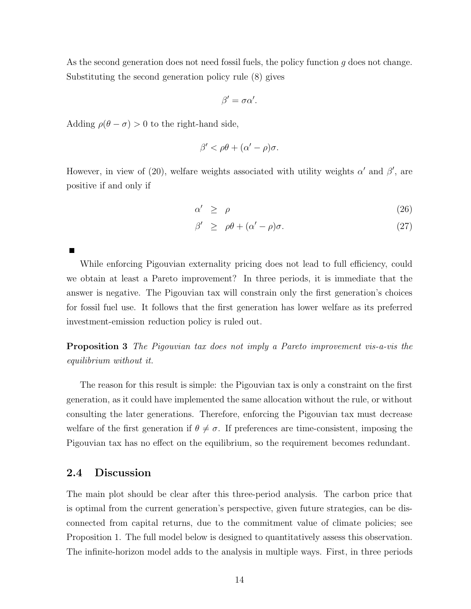As the second generation does not need fossil fuels, the policy function g does not change. Substituting the second generation policy rule (8) gives

$$
\beta'=\sigma\alpha'.
$$

Adding  $\rho(\theta - \sigma) > 0$  to the right-hand side,

$$
\beta' < \rho\theta + (\alpha' - \rho)\sigma.
$$

However, in view of (20), welfare weights associated with utility weights  $\alpha'$  and  $\beta'$ , are positive if and only if

$$
\alpha' \ge \rho \tag{26}
$$

$$
\beta' \ge \rho \theta + (\alpha' - \rho)\sigma. \tag{27}
$$

While enforcing Pigouvian externality pricing does not lead to full efficiency, could we obtain at least a Pareto improvement? In three periods, it is immediate that the answer is negative. The Pigouvian tax will constrain only the first generation's choices for fossil fuel use. It follows that the first generation has lower welfare as its preferred investment-emission reduction policy is ruled out.

Proposition 3 The Pigouvian tax does not imply a Pareto improvement vis-a-vis the equilibrium without it.

The reason for this result is simple: the Pigouvian tax is only a constraint on the first generation, as it could have implemented the same allocation without the rule, or without consulting the later generations. Therefore, enforcing the Pigouvian tax must decrease welfare of the first generation if  $\theta \neq \sigma$ . If preferences are time-consistent, imposing the Pigouvian tax has no effect on the equilibrium, so the requirement becomes redundant.

## 2.4 Discussion

П

The main plot should be clear after this three-period analysis. The carbon price that is optimal from the current generation's perspective, given future strategies, can be disconnected from capital returns, due to the commitment value of climate policies; see Proposition 1. The full model below is designed to quantitatively assess this observation. The infinite-horizon model adds to the analysis in multiple ways. First, in three periods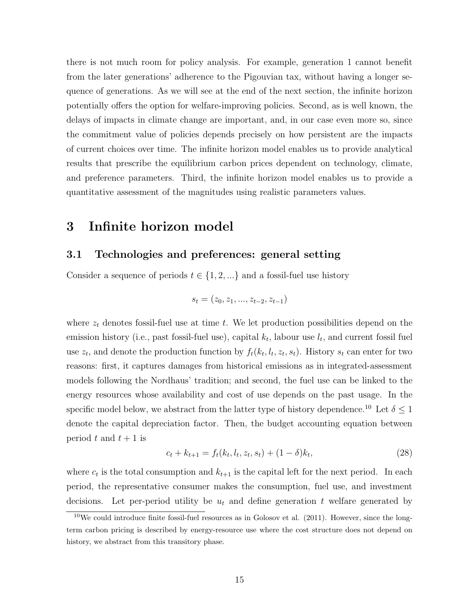there is not much room for policy analysis. For example, generation 1 cannot benefit from the later generations' adherence to the Pigouvian tax, without having a longer sequence of generations. As we will see at the end of the next section, the infinite horizon potentially offers the option for welfare-improving policies. Second, as is well known, the delays of impacts in climate change are important, and, in our case even more so, since the commitment value of policies depends precisely on how persistent are the impacts of current choices over time. The infinite horizon model enables us to provide analytical results that prescribe the equilibrium carbon prices dependent on technology, climate, and preference parameters. Third, the infinite horizon model enables us to provide a quantitative assessment of the magnitudes using realistic parameters values.

## 3 Infinite horizon model

## 3.1 Technologies and preferences: general setting

Consider a sequence of periods  $t \in \{1, 2, ...\}$  and a fossil-fuel use history

$$
s_t = (z_0, z_1, ..., z_{t-2}, z_{t-1})
$$

where  $z_t$  denotes fossil-fuel use at time t. We let production possibilities depend on the emission history (i.e., past fossil-fuel use), capital  $k_t$ , labour use  $l_t$ , and current fossil fuel use  $z_t$ , and denote the production function by  $f_t(k_t, l_t, z_t, s_t)$ . History  $s_t$  can enter for two reasons: first, it captures damages from historical emissions as in integrated-assessment models following the Nordhaus' tradition; and second, the fuel use can be linked to the energy resources whose availability and cost of use depends on the past usage. In the specific model below, we abstract from the latter type of history dependence.<sup>10</sup> Let  $\delta \leq 1$ denote the capital depreciation factor. Then, the budget accounting equation between period t and  $t + 1$  is

$$
c_t + k_{t+1} = f_t(k_t, l_t, z_t, s_t) + (1 - \delta)k_t,
$$
\n(28)

where  $c_t$  is the total consumption and  $k_{t+1}$  is the capital left for the next period. In each period, the representative consumer makes the consumption, fuel use, and investment decisions. Let per-period utility be  $u_t$  and define generation t welfare generated by

 $10$ We could introduce finite fossil-fuel resources as in Golosov et al. (2011). However, since the longterm carbon pricing is described by energy-resource use where the cost structure does not depend on history, we abstract from this transitory phase.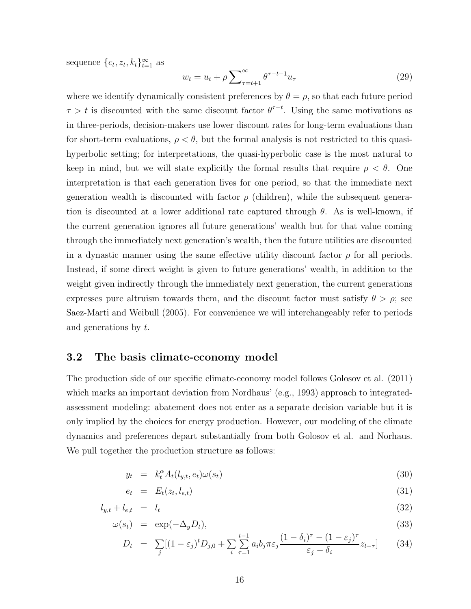sequence  $\{c_t, z_t, k_t\}_{t=1}^{\infty}$  as

$$
w_t = u_t + \rho \sum_{\tau=t+1}^{\infty} \theta^{\tau-t-1} u_\tau \tag{29}
$$

where we identify dynamically consistent preferences by  $\theta = \rho$ , so that each future period  $\tau > t$  is discounted with the same discount factor  $\theta^{\tau-t}$ . Using the same motivations as in three-periods, decision-makers use lower discount rates for long-term evaluations than for short-term evaluations,  $\rho < \theta$ , but the formal analysis is not restricted to this quasihyperbolic setting; for interpretations, the quasi-hyperbolic case is the most natural to keep in mind, but we will state explicitly the formal results that require  $\rho < \theta$ . One interpretation is that each generation lives for one period, so that the immediate next generation wealth is discounted with factor  $\rho$  (children), while the subsequent generation is discounted at a lower additional rate captured through  $\theta$ . As is well-known, if the current generation ignores all future generations' wealth but for that value coming through the immediately next generation's wealth, then the future utilities are discounted in a dynastic manner using the same effective utility discount factor  $\rho$  for all periods. Instead, if some direct weight is given to future generations' wealth, in addition to the weight given indirectly through the immediately next generation, the current generations expresses pure altruism towards them, and the discount factor must satisfy  $\theta > \rho$ ; see Saez-Marti and Weibull (2005). For convenience we will interchangeably refer to periods and generations by t.

### 3.2 The basis climate-economy model

The production side of our specific climate-economy model follows Golosov et al. (2011) which marks an important deviation from Nordhaus' (e.g., 1993) approach to integratedassessment modeling: abatement does not enter as a separate decision variable but it is only implied by the choices for energy production. However, our modeling of the climate dynamics and preferences depart substantially from both Golosov et al. and Norhaus. We pull together the production structure as follows:

$$
y_t = k_t^{\alpha} A_t(l_{y,t}, e_t) \omega(s_t) \tag{30}
$$

$$
e_t = E_t(z_t, l_{e,t}) \tag{31}
$$

$$
l_{y,t} + l_{e,t} = l_t \tag{32}
$$

$$
\omega(s_t) = \exp(-\Delta_y D_t), \tag{33}
$$

$$
D_t = \sum_j [(1 - \varepsilon_j)^t D_{j,0} + \sum_i \sum_{\tau=1}^{t-1} a_i b_j \pi \varepsilon_j \frac{(1 - \delta_i)^\tau - (1 - \varepsilon_j)^\tau}{\varepsilon_j - \delta_i} z_{t-\tau}] \tag{34}
$$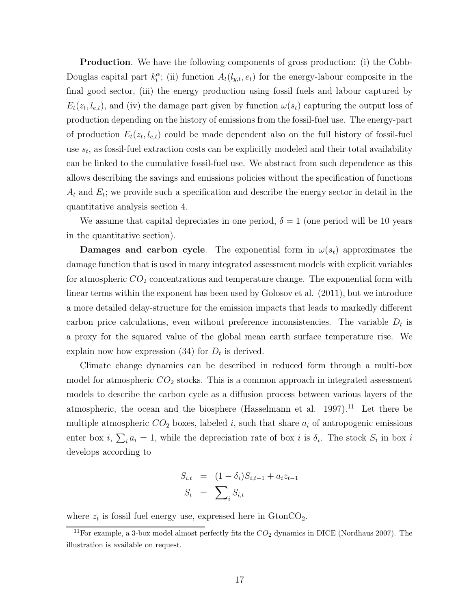**Production**. We have the following components of gross production: (i) the Cobb-Douglas capital part  $k_t^{\alpha}$ ; (ii) function  $A_t(l_{y,t}, e_t)$  for the energy-labour composite in the final good sector, (iii) the energy production using fossil fuels and labour captured by  $E_t(z_t, l_{e,t})$ , and (iv) the damage part given by function  $\omega(s_t)$  capturing the output loss of production depending on the history of emissions from the fossil-fuel use. The energy-part of production  $E_t(z_t, l_{e,t})$  could be made dependent also on the full history of fossil-fuel use  $s_t$ , as fossil-fuel extraction costs can be explicitly modeled and their total availability can be linked to the cumulative fossil-fuel use. We abstract from such dependence as this allows describing the savings and emissions policies without the specification of functions  $A_t$  and  $E_t$ ; we provide such a specification and describe the energy sector in detail in the quantitative analysis section 4.

We assume that capital depreciates in one period,  $\delta = 1$  (one period will be 10 years in the quantitative section).

**Damages and carbon cycle.** The exponential form in  $\omega(s_t)$  approximates the damage function that is used in many integrated assessment models with explicit variables for atmospheric  $CO<sub>2</sub>$  concentrations and temperature change. The exponential form with linear terms within the exponent has been used by Golosov et al. (2011), but we introduce a more detailed delay-structure for the emission impacts that leads to markedly different carbon price calculations, even without preference inconsistencies. The variable  $D_t$  is a proxy for the squared value of the global mean earth surface temperature rise. We explain now how expression  $(34)$  for  $D_t$  is derived.

Climate change dynamics can be described in reduced form through a multi-box model for atmospheric  $CO<sub>2</sub>$  stocks. This is a common approach in integrated assessment models to describe the carbon cycle as a diffusion process between various layers of the atmospheric, the ocean and the biosphere (Hasselmann et al.  $1997$ ).<sup>11</sup> Let there be multiple atmospheric  $CO_2$  boxes, labeled i, such that share  $a_i$  of antropogenic emissions enter box *i*,  $\sum_i a_i = 1$ , while the depreciation rate of box *i* is  $\delta_i$ . The stock  $S_i$  in box *i* develops according to

$$
S_{i,t} = (1 - \delta_i) S_{i,t-1} + a_i z_{t-1}
$$

$$
S_t = \sum_i S_{i,t}
$$

where  $z_t$  is fossil fuel energy use, expressed here in  $\text{GtonCO}_2$ .

<sup>&</sup>lt;sup>11</sup>For example, a 3-box model almost perfectly fits the  $CO<sub>2</sub>$  dynamics in DICE (Nordhaus 2007). The illustration is available on request.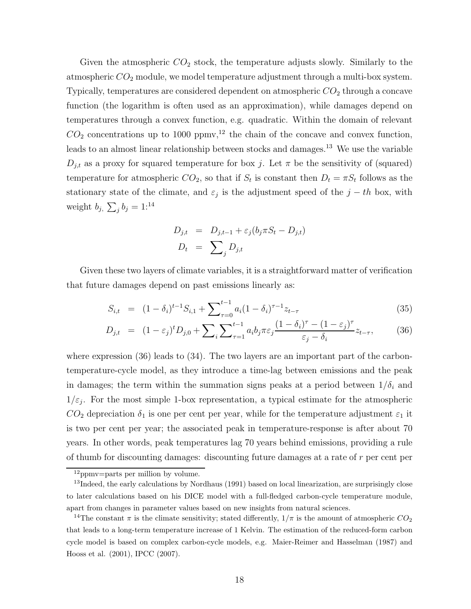Given the atmospheric  $CO_2$  stock, the temperature adjusts slowly. Similarly to the atmospheric  $CO<sub>2</sub>$  module, we model temperature adjustment through a multi-box system. Typically, temperatures are considered dependent on atmospheric  $CO<sub>2</sub>$  through a concave function (the logarithm is often used as an approximation), while damages depend on temperatures through a convex function, e.g. quadratic. Within the domain of relevant  $CO<sub>2</sub>$  concentrations up to 1000 ppmv,<sup>12</sup> the chain of the concave and convex function, leads to an almost linear relationship between stocks and damages.<sup>13</sup> We use the variable  $D_{j,t}$  as a proxy for squared temperature for box j. Let  $\pi$  be the sensitivity of (squared) temperature for atmospheric  $CO_2$ , so that if  $S_t$  is constant then  $D_t = \pi S_t$  follows as the stationary state of the climate, and  $\varepsilon_j$  is the adjustment speed of the  $j-th$  box, with weight  $b_j$ ,  $\sum_j b_j = 1:^{14}$ 

$$
D_{j,t} = D_{j,t-1} + \varepsilon_j (b_j \pi S_t - D_{j,t})
$$
  

$$
D_t = \sum_j D_{j,t}
$$

Given these two layers of climate variables, it is a straightforward matter of verification that future damages depend on past emissions linearly as:

$$
S_{i,t} = (1 - \delta_i)^{t-1} S_{i,1} + \sum_{\tau=0}^{t-1} a_i (1 - \delta_i)^{\tau-1} z_{t-\tau}
$$
\n(35)

$$
D_{j,t} = (1 - \varepsilon_j)^t D_{j,0} + \sum_i \sum_{\tau=1}^{t-1} a_i b_j \pi \varepsilon_j \frac{(1 - \delta_i)^\tau - (1 - \varepsilon_j)^\tau}{\varepsilon_j - \delta_i} z_{t-\tau}, \tag{36}
$$

where expression (36) leads to (34). The two layers are an important part of the carbontemperature-cycle model, as they introduce a time-lag between emissions and the peak in damages; the term within the summation signs peaks at a period between  $1/\delta_i$  and  $1/\varepsilon_j$ . For the most simple 1-box representation, a typical estimate for the atmospheric  $CO_2$  depreciation  $\delta_1$  is one per cent per year, while for the temperature adjustment  $\varepsilon_1$  it is two per cent per year; the associated peak in temperature-response is after about 70 years. In other words, peak temperatures lag 70 years behind emissions, providing a rule of thumb for discounting damages: discounting future damages at a rate of r per cent per

<sup>12</sup>ppmv=parts per million by volume.

<sup>&</sup>lt;sup>13</sup>Indeed, the early calculations by Nordhaus (1991) based on local linearization, are surprisingly close to later calculations based on his DICE model with a full-fledged carbon-cycle temperature module, apart from changes in parameter values based on new insights from natural sciences.

<sup>&</sup>lt;sup>14</sup>The constant  $\pi$  is the climate sensitivity; stated differently,  $1/\pi$  is the amount of atmospheric  $CO_2$ that leads to a long-term temperature increase of 1 Kelvin. The estimation of the reduced-form carbon cycle model is based on complex carbon-cycle models, e.g. Maier-Reimer and Hasselman (1987) and Hooss et al. (2001), IPCC (2007).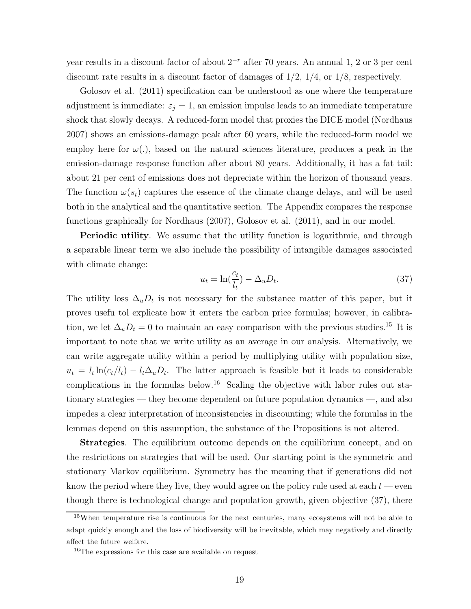year results in a discount factor of about  $2^{-r}$  after 70 years. An annual 1, 2 or 3 per cent discount rate results in a discount factor of damages of  $1/2$ ,  $1/4$ , or  $1/8$ , respectively.

Golosov et al. (2011) specification can be understood as one where the temperature adjustment is immediate:  $\varepsilon_j = 1$ , an emission impulse leads to an immediate temperature shock that slowly decays. A reduced-form model that proxies the DICE model (Nordhaus 2007) shows an emissions-damage peak after 60 years, while the reduced-form model we employ here for  $\omega(.)$ , based on the natural sciences literature, produces a peak in the emission-damage response function after about 80 years. Additionally, it has a fat tail: about 21 per cent of emissions does not depreciate within the horizon of thousand years. The function  $\omega(s_t)$  captures the essence of the climate change delays, and will be used both in the analytical and the quantitative section. The Appendix compares the response functions graphically for Nordhaus (2007), Golosov et al. (2011), and in our model.

**Periodic utility**. We assume that the utility function is logarithmic, and through a separable linear term we also include the possibility of intangible damages associated with climate change:

$$
u_t = \ln(\frac{c_t}{l_t}) - \Delta_u D_t.
$$
\n(37)

The utility loss  $\Delta_u D_t$  is not necessary for the substance matter of this paper, but it proves usefu tol explicate how it enters the carbon price formulas; however, in calibration, we let  $\Delta_u D_t = 0$  to maintain an easy comparison with the previous studies.<sup>15</sup> It is important to note that we write utility as an average in our analysis. Alternatively, we can write aggregate utility within a period by multiplying utility with population size,  $u_t = l_t \ln(c_t/l_t) - l_t \Delta_u D_t$ . The latter approach is feasible but it leads to considerable complications in the formulas below.<sup>16</sup> Scaling the objective with labor rules out stationary strategies — they become dependent on future population dynamics —, and also impedes a clear interpretation of inconsistencies in discounting; while the formulas in the lemmas depend on this assumption, the substance of the Propositions is not altered.

Strategies. The equilibrium outcome depends on the equilibrium concept, and on the restrictions on strategies that will be used. Our starting point is the symmetric and stationary Markov equilibrium. Symmetry has the meaning that if generations did not know the period where they live, they would agree on the policy rule used at each  $t$  — even though there is technological change and population growth, given objective (37), there

<sup>15</sup>When temperature rise is continuous for the next centuries, many ecosystems will not be able to adapt quickly enough and the loss of biodiversity will be inevitable, which may negatively and directly affect the future welfare.

<sup>&</sup>lt;sup>16</sup>The expressions for this case are available on request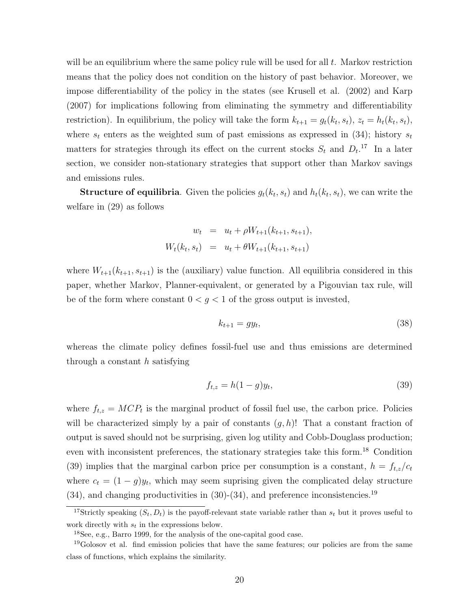will be an equilibrium where the same policy rule will be used for all  $t$ . Markov restriction means that the policy does not condition on the history of past behavior. Moreover, we impose differentiability of the policy in the states (see Krusell et al. (2002) and Karp (2007) for implications following from eliminating the symmetry and differentiability restriction). In equilibrium, the policy will take the form  $k_{t+1} = g_t(k_t, s_t)$ ,  $z_t = h_t(k_t, s_t)$ , where  $s_t$  enters as the weighted sum of past emissions as expressed in (34); history  $s_t$ matters for strategies through its effect on the current stocks  $S_t$  and  $D_t$ <sup>17</sup> In a later section, we consider non-stationary strategies that support other than Markov savings and emissions rules.

**Structure of equilibria**. Given the policies  $g_t(k_t, s_t)$  and  $h_t(k_t, s_t)$ , we can write the welfare in (29) as follows

$$
w_t = u_t + \rho W_{t+1}(k_{t+1}, s_{t+1}),
$$
  

$$
W_t(k_t, s_t) = u_t + \theta W_{t+1}(k_{t+1}, s_{t+1})
$$

where  $W_{t+1}(k_{t+1}, s_{t+1})$  is the (auxiliary) value function. All equilibria considered in this paper, whether Markov, Planner-equivalent, or generated by a Pigouvian tax rule, will be of the form where constant  $0 < g < 1$  of the gross output is invested,

$$
k_{t+1} = gy_t,\tag{38}
$$

whereas the climate policy defines fossil-fuel use and thus emissions are determined through a constant  $h$  satisfying

$$
f_{t,z} = h(1-g)y_t,
$$
\n(39)

where  $f_{t,z} = MCP_t$  is the marginal product of fossil fuel use, the carbon price. Policies will be characterized simply by a pair of constants  $(g, h)$ ! That a constant fraction of output is saved should not be surprising, given log utility and Cobb-Douglass production; even with inconsistent preferences, the stationary strategies take this form.<sup>18</sup> Condition (39) implies that the marginal carbon price per consumption is a constant,  $h = f_{t,z}/c_t$ where  $c_t = (1 - g)y_t$ , which may seem suprising given the complicated delay structure  $(34)$ , and changing productivities in  $(30)-(34)$ , and preference inconsistencies.<sup>19</sup>

<sup>&</sup>lt;sup>17</sup>Strictly speaking  $(S_t, D_t)$  is the payoff-relevant state variable rather than  $s_t$  but it proves useful to work directly with  $s_t$  in the expressions below.

<sup>18</sup>See, e.g., Barro 1999, for the analysis of the one-capital good case.

<sup>&</sup>lt;sup>19</sup>Golosov et al. find emission policies that have the same features; our policies are from the same class of functions, which explains the similarity.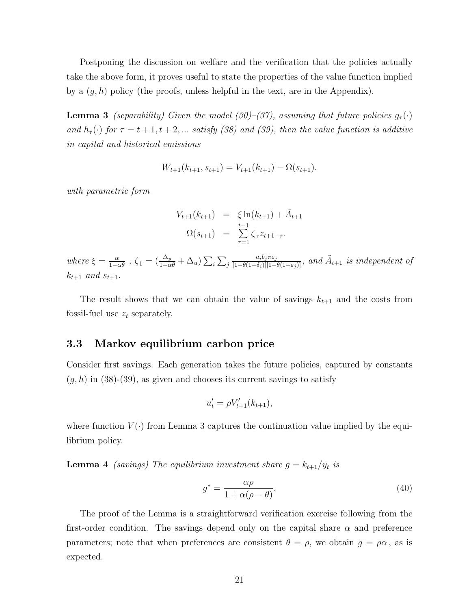Postponing the discussion on welfare and the verification that the policies actually take the above form, it proves useful to state the properties of the value function implied by a  $(g, h)$  policy (the proofs, unless helpful in the text, are in the Appendix).

**Lemma 3** (separability) Given the model (30)–(37), assuming that future policies  $g_{\tau}(\cdot)$ and  $h_{\tau}(\cdot)$  for  $\tau = t + 1, t + 2, ...$  satisfy (38) and (39), then the value function is additive in capital and historical emissions

$$
W_{t+1}(k_{t+1}, s_{t+1}) = V_{t+1}(k_{t+1}) - \Omega(s_{t+1}).
$$

with parametric form

$$
V_{t+1}(k_{t+1}) = \xi \ln(k_{t+1}) + \tilde{A}_{t+1}
$$
  

$$
\Omega(s_{t+1}) = \sum_{\tau=1}^{t-1} \zeta_{\tau} z_{t+1-\tau}.
$$

where  $\xi = \frac{\alpha}{1-\alpha\theta}$  ,  $\zeta_1 = (\frac{\Delta_y}{1-\alpha\theta} + \Delta_u) \sum_i \sum_j$  $\frac{a_ib_j\pi\varepsilon_j}{[1-\theta(1-\delta_i)][1-\theta(1-\varepsilon_j)]}, \ and \ \tilde{A}_{t+1} \ is \ independent \ of$  $k_{t+1}$  and  $s_{t+1}$ .

The result shows that we can obtain the value of savings  $k_{t+1}$  and the costs from fossil-fuel use  $z_t$  separately.

### 3.3 Markov equilibrium carbon price

Consider first savings. Each generation takes the future policies, captured by constants  $(g, h)$  in (38)-(39), as given and chooses its current savings to satisfy

$$
u'_{t} = \rho V'_{t+1}(k_{t+1}),
$$

where function  $V(\cdot)$  from Lemma 3 captures the continuation value implied by the equilibrium policy.

**Lemma 4** (savings) The equilibrium investment share  $g = k_{t+1}/y_t$  is

$$
g^* = \frac{\alpha \rho}{1 + \alpha(\rho - \theta)}.\tag{40}
$$

The proof of the Lemma is a straightforward verification exercise following from the first-order condition. The savings depend only on the capital share  $\alpha$  and preference parameters; note that when preferences are consistent  $\theta = \rho$ , we obtain  $g = \rho \alpha$ , as is expected.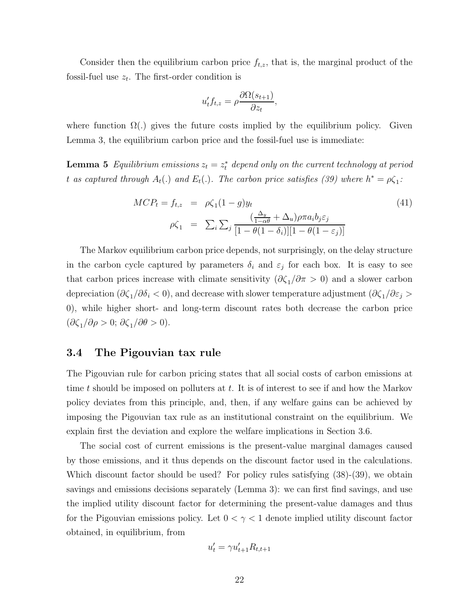Consider then the equilibrium carbon price  $f_{t,z}$ , that is, the marginal product of the fossil-fuel use  $z_t$ . The first-order condition is

$$
u_t' f_{t,z} = \rho \frac{\partial \Omega(s_{t+1})}{\partial z_t},
$$

where function  $\Omega(.)$  gives the future costs implied by the equilibrium policy. Given Lemma 3, the equilibrium carbon price and the fossil-fuel use is immediate:

**Lemma 5** Equilibrium emissions  $z_t = z_t^*$  depend only on the current technology at period t as captured through  $A_t(.)$  and  $E_t(.)$ . The carbon price satisfies (39) where  $h^* = \rho \zeta_1$ :

$$
MCP_t = f_{t,z} = \rho \zeta_1 (1 - g) y_t
$$
  
\n
$$
\rho \zeta_1 = \sum_i \sum_j \frac{(\frac{\Delta_y}{1 - \alpha \theta} + \Delta_u) \rho \pi a_i b_j \varepsilon_j}{[1 - \theta (1 - \delta_i)][1 - \theta (1 - \varepsilon_j)]}
$$
\n(41)

The Markov equilibrium carbon price depends, not surprisingly, on the delay structure in the carbon cycle captured by parameters  $\delta_i$  and  $\varepsilon_j$  for each box. It is easy to see that carbon prices increase with climate sensitivity  $(\partial \zeta_1/\partial \pi > 0)$  and a slower carbon depreciation ( $\partial \zeta_1/\partial \delta_i < 0$ ), and decrease with slower temperature adjustment ( $\partial \zeta_1/\partial \varepsilon_j > 0$ 0), while higher short- and long-term discount rates both decrease the carbon price  $(\partial \zeta_1/\partial \rho > 0; \partial \zeta_1/\partial \theta > 0).$ 

## 3.4 The Pigouvian tax rule

The Pigouvian rule for carbon pricing states that all social costs of carbon emissions at time t should be imposed on polluters at t. It is of interest to see if and how the Markov policy deviates from this principle, and, then, if any welfare gains can be achieved by imposing the Pigouvian tax rule as an institutional constraint on the equilibrium. We explain first the deviation and explore the welfare implications in Section 3.6.

The social cost of current emissions is the present-value marginal damages caused by those emissions, and it thus depends on the discount factor used in the calculations. Which discount factor should be used? For policy rules satisfying  $(38)-(39)$ , we obtain savings and emissions decisions separately (Lemma 3): we can first find savings, and use the implied utility discount factor for determining the present-value damages and thus for the Pigouvian emissions policy. Let  $0 < \gamma < 1$  denote implied utility discount factor obtained, in equilibrium, from

$$
u_t' = \gamma u_{t+1}' R_{t,t+1}
$$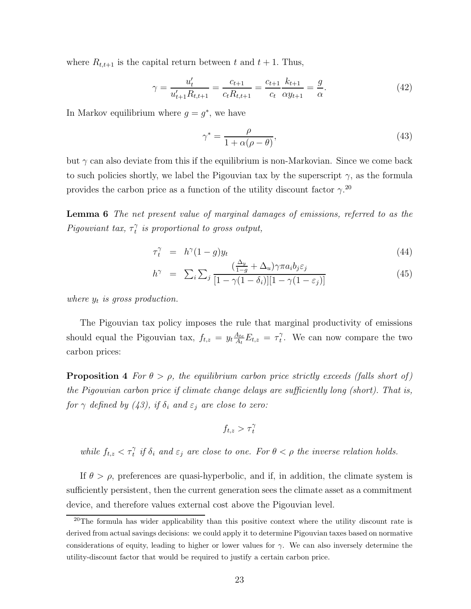where  $R_{t,t+1}$  is the capital return between t and  $t + 1$ . Thus,

$$
\gamma = \frac{u'_t}{u'_{t+1} R_{t,t+1}} = \frac{c_{t+1}}{c_t R_{t,t+1}} = \frac{c_{t+1}}{c_t} \frac{k_{t+1}}{\alpha y_{t+1}} = \frac{g}{\alpha}.
$$
\n(42)

In Markov equilibrium where  $g = g^*$ , we have

$$
\gamma^* = \frac{\rho}{1 + \alpha(\rho - \theta)},\tag{43}
$$

but  $\gamma$  can also deviate from this if the equilibrium is non-Markovian. Since we come back to such policies shortly, we label the Pigouvian tax by the superscript  $\gamma$ , as the formula provides the carbon price as a function of the utility discount factor  $\gamma$ <sup>20</sup>

Lemma 6 The net present value of marginal damages of emissions, referred to as the Pigouviant tax,  $\tau_t^{\gamma}$  $\hat{t}$  is proportional to gross output,

$$
\tau_t^{\gamma} = h^{\gamma} (1 - g) y_t \tag{44}
$$

$$
h^{\gamma} = \sum_{i} \sum_{j} \frac{\left(\frac{\Delta_y}{1-g} + \Delta_u\right) \gamma \pi a_i b_j \varepsilon_j}{\left[1 - \gamma (1 - \delta_i)\right] \left[1 - \gamma (1 - \varepsilon_j)\right]}
$$
(45)

where  $y_t$  is gross production.

The Pigouvian tax policy imposes the rule that marginal productivity of emissions should equal the Pigouvian tax,  $f_{t,z} = y_t \frac{A_{te}}{A_t}$  $\frac{A_{te}}{A_t}E_{t,z} = \tau_t^{\gamma}$  $t<sub>t</sub>$ . We can now compare the two carbon prices:

**Proposition 4** For  $\theta > \rho$ , the equilibrium carbon price strictly exceeds (falls short of) the Pigouvian carbon price if climate change delays are sufficiently long (short). That is, for  $\gamma$  defined by (43), if  $\delta_i$  and  $\varepsilon_j$  are close to zero:

$$
f_{t,z} > \tau_t^{\gamma}
$$

while  $f_{t,z} < \tau_t^{\gamma}$  if  $\delta_i$  and  $\varepsilon_j$  are close to one. For  $\theta < \rho$  the inverse relation holds.

If  $\theta > \rho$ , preferences are quasi-hyperbolic, and if, in addition, the climate system is sufficiently persistent, then the current generation sees the climate asset as a commitment device, and therefore values external cost above the Pigouvian level.

<sup>&</sup>lt;sup>20</sup>The formula has wider applicability than this positive context where the utility discount rate is derived from actual savings decisions: we could apply it to determine Pigouvian taxes based on normative considerations of equity, leading to higher or lower values for  $\gamma$ . We can also inversely determine the utility-discount factor that would be required to justify a certain carbon price.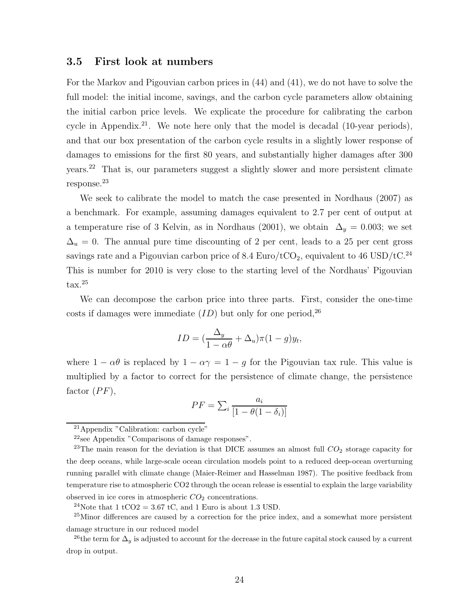#### 3.5 First look at numbers

For the Markov and Pigouvian carbon prices in (44) and (41), we do not have to solve the full model: the initial income, savings, and the carbon cycle parameters allow obtaining the initial carbon price levels. We explicate the procedure for calibrating the carbon cycle in Appendix.<sup>21</sup>. We note here only that the model is decadal  $(10$ -year periods), and that our box presentation of the carbon cycle results in a slightly lower response of damages to emissions for the first 80 years, and substantially higher damages after 300 years.<sup>22</sup> That is, our parameters suggest a slightly slower and more persistent climate response.<sup>23</sup>

We seek to calibrate the model to match the case presented in Nordhaus (2007) as a benchmark. For example, assuming damages equivalent to 2.7 per cent of output at a temperature rise of 3 Kelvin, as in Nordhaus (2001), we obtain  $\Delta_y = 0.003$ ; we set  $\Delta_u = 0$ . The annual pure time discounting of 2 per cent, leads to a 25 per cent gross savings rate and a Pigouvian carbon price of 8.4  $\mathrm{Euro}/\mathrm{tCO}_2,$  equivalent to 46  $\mathrm{USD}/\mathrm{tC}.^{24}$ This is number for 2010 is very close to the starting level of the Nordhaus' Pigouvian tax.<sup>25</sup>

We can decompose the carbon price into three parts. First, consider the one-time costs if damages were immediate  $(ID)$  but only for one period,<sup>26</sup>

$$
ID = (\frac{\Delta_y}{1 - \alpha \theta} + \Delta_u)\pi (1 - g)y_t,
$$

where  $1 - \alpha\theta$  is replaced by  $1 - \alpha\gamma = 1 - g$  for the Pigouvian tax rule. This value is multiplied by a factor to correct for the persistence of climate change, the persistence factor  $(PF)$ ,

$$
PF = \sum_{i} \frac{a_i}{[1 - \theta(1 - \delta_i)]}
$$

<sup>21</sup>Appendix "Calibration: carbon cycle"

<sup>22</sup>see Appendix "Comparisons of damage responses".

<sup>&</sup>lt;sup>23</sup>The main reason for the deviation is that DICE assumes an almost full  $CO<sub>2</sub>$  storage capacity for the deep oceans, while large-scale ocean circulation models point to a reduced deep-ocean overturning running parallel with climate change (Maier-Reimer and Hasselman 1987). The positive feedback from temperature rise to atmospheric CO2 through the ocean release is essential to explain the large variability observed in ice cores in atmospheric  $CO<sub>2</sub>$  concentrations.

<sup>&</sup>lt;sup>24</sup>Note that 1 tCO2 = 3.67 tC, and 1 Euro is about 1.3 USD.

<sup>&</sup>lt;sup>25</sup>Minor differences are caused by a correction for the price index, and a somewhat more persistent damage structure in our reduced model

<sup>&</sup>lt;sup>26</sup>the term for  $\Delta_y$  is adjusted to account for the decrease in the future capital stock caused by a current drop in output.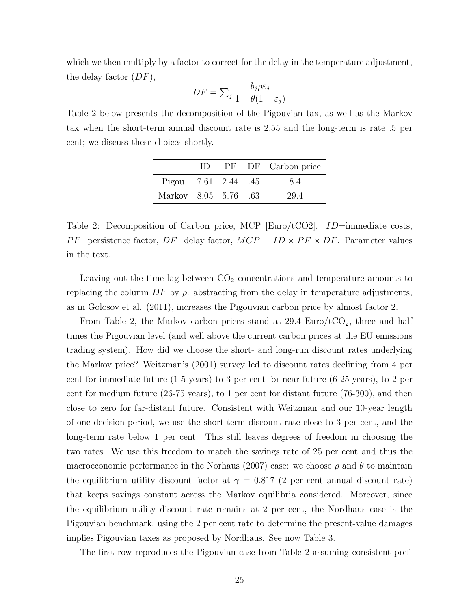which we then multiply by a factor to correct for the delay in the temperature adjustment, the delay factor  $(DF)$ ,

$$
DF = \sum_{j} \frac{b_j \rho \varepsilon_j}{1 - \theta (1 - \varepsilon_j)}
$$

Table 2 below presents the decomposition of the Pigouvian tax, as well as the Markov tax when the short-term annual discount rate is 2.55 and the long-term is rate .5 per cent; we discuss these choices shortly.

|                      | $\Box$ |  | PF DF Carbon price |
|----------------------|--------|--|--------------------|
| Pigou 7.61 2.44 .45  |        |  | 8.4                |
| Markov 8.05 5.76 .63 |        |  | 29.4               |

Table 2: Decomposition of Carbon price, MCP [Euro/tCO2].  $ID=\text{immediate costs}$ ,  $PF =$ persistence factor,  $DF =$ delay factor,  $MCP = ID \times PF \times DF$ . Parameter values in the text.

Leaving out the time lag between  $CO<sub>2</sub>$  concentrations and temperature amounts to replacing the column  $DF$  by  $\rho$ : abstracting from the delay in temperature adjustments, as in Golosov et al. (2011), increases the Pigouvian carbon price by almost factor 2.

From Table 2, the Markov carbon prices stand at  $29.4 \text{ Euro}/t\text{CO}_2$ , three and half times the Pigouvian level (and well above the current carbon prices at the EU emissions trading system). How did we choose the short- and long-run discount rates underlying the Markov price? Weitzman's (2001) survey led to discount rates declining from 4 per cent for immediate future (1-5 years) to 3 per cent for near future (6-25 years), to 2 per cent for medium future (26-75 years), to 1 per cent for distant future (76-300), and then close to zero for far-distant future. Consistent with Weitzman and our 10-year length of one decision-period, we use the short-term discount rate close to 3 per cent, and the long-term rate below 1 per cent. This still leaves degrees of freedom in choosing the two rates. We use this freedom to match the savings rate of 25 per cent and thus the macroeconomic performance in the Norhaus (2007) case: we choose  $\rho$  and  $\theta$  to maintain the equilibrium utility discount factor at  $\gamma = 0.817$  (2 per cent annual discount rate) that keeps savings constant across the Markov equilibria considered. Moreover, since the equilibrium utility discount rate remains at 2 per cent, the Nordhaus case is the Pigouvian benchmark; using the 2 per cent rate to determine the present-value damages implies Pigouvian taxes as proposed by Nordhaus. See now Table 3.

The first row reproduces the Pigouvian case from Table 2 assuming consistent pref-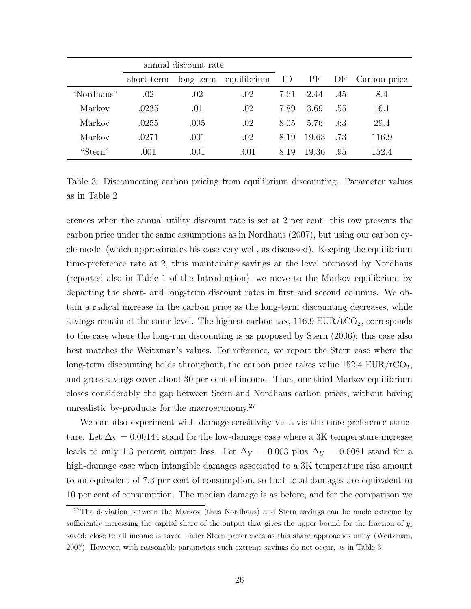|            |            | annual discount rate |             |      |       |     |              |
|------------|------------|----------------------|-------------|------|-------|-----|--------------|
|            | short-term | $long-term$          | equilibrium | ID   | PF    | DF  | Carbon price |
| "Nordhaus" | .02        | .02                  | .02         | 7.61 | 2.44  | .45 | 8.4          |
| Markov     | .0235      | .01                  | .02         | 7.89 | 3.69  | .55 | 16.1         |
| Markov     | .0255      | .005                 | .02         | 8.05 | 5.76  | .63 | 29.4         |
| Markov     | .0271      | .001                 | .02         | 8.19 | 19.63 | .73 | 116.9        |
| "Stern"    | .001       | .001                 | .001        | 8.19 | 19.36 | .95 | 152.4        |

Table 3: Disconnecting carbon pricing from equilibrium discounting. Parameter values as in Table 2

erences when the annual utility discount rate is set at 2 per cent: this row presents the carbon price under the same assumptions as in Nordhaus (2007), but using our carbon cycle model (which approximates his case very well, as discussed). Keeping the equilibrium time-preference rate at 2, thus maintaining savings at the level proposed by Nordhaus (reported also in Table 1 of the Introduction), we move to the Markov equilibrium by departing the short- and long-term discount rates in first and second columns. We obtain a radical increase in the carbon price as the long-term discounting decreases, while savings remain at the same level. The highest carbon tax,  $116.9 \text{ EUR}/t\text{CO}_2$ , corresponds to the case where the long-run discounting is as proposed by Stern (2006); this case also best matches the Weitzman's values. For reference, we report the Stern case where the long-term discounting holds throughout, the carbon price takes value  $152.4 \text{ EUR}/t\text{CO}_2$ , and gross savings cover about 30 per cent of income. Thus, our third Markov equilibrium closes considerably the gap between Stern and Nordhaus carbon prices, without having unrealistic by-products for the macroeconomy.<sup>27</sup>

We can also experiment with damage sensitivity vis-a-vis the time-preference structure. Let  $\Delta_Y = 0.00144$  stand for the low-damage case where a 3K temperature increase leads to only 1.3 percent output loss. Let  $\Delta_Y = 0.003$  plus  $\Delta_U = 0.0081$  stand for a high-damage case when intangible damages associated to a 3K temperature rise amount to an equivalent of 7.3 per cent of consumption, so that total damages are equivalent to 10 per cent of consumption. The median damage is as before, and for the comparison we

<sup>&</sup>lt;sup>27</sup>The deviation between the Markov (thus Nordhaus) and Stern savings can be made extreme by sufficiently increasing the capital share of the output that gives the upper bound for the fraction of  $y_t$ saved; close to all income is saved under Stern preferences as this share approaches unity (Weitzman, 2007). However, with reasonable parameters such extreme savings do not occur, as in Table 3.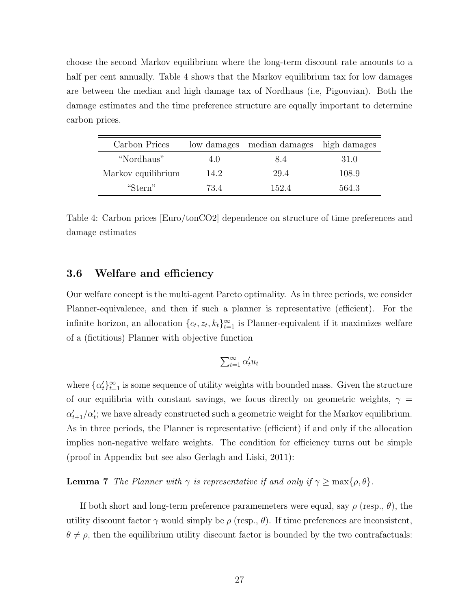choose the second Markov equilibrium where the long-term discount rate amounts to a half per cent annually. Table 4 shows that the Markov equilibrium tax for low damages are between the median and high damage tax of Nordhaus (i.e, Pigouvian). Both the damage estimates and the time preference structure are equally important to determine carbon prices.

| Carbon Prices      |      | low damages median damages high damages |       |
|--------------------|------|-----------------------------------------|-------|
| "Nordhaus"         | 4.0  | 8.4                                     | 31.0  |
| Markov equilibrium | 14.2 | 29.4                                    | 108.9 |
| "Stern"            | 734  | 152.4                                   | 564.3 |

Table 4: Carbon prices [Euro/tonCO2] dependence on structure of time preferences and damage estimates

## 3.6 Welfare and efficiency

Our welfare concept is the multi-agent Pareto optimality. As in three periods, we consider Planner-equivalence, and then if such a planner is representative (efficient). For the infinite horizon, an allocation  $\{c_t, z_t, k_t\}_{t=1}^{\infty}$  is Planner-equivalent if it maximizes welfare of a (fictitious) Planner with objective function

$$
\sum_{t=1}^{\infty} \alpha'_t u_t
$$

where  $\{\alpha_t'\}_{t=1}^{\infty}$  is some sequence of utility weights with bounded mass. Given the structure of our equilibria with constant savings, we focus directly on geometric weights,  $\gamma =$  $\alpha'_{t+1}/\alpha'_{t}$ ; we have already constructed such a geometric weight for the Markov equilibrium. As in three periods, the Planner is representative (efficient) if and only if the allocation implies non-negative welfare weights. The condition for efficiency turns out be simple (proof in Appendix but see also Gerlagh and Liski, 2011):

**Lemma 7** The Planner with  $\gamma$  is representative if and only if  $\gamma \ge \max\{\rho, \theta\}.$ 

If both short and long-term preference paramemeters were equal, say  $\rho$  (resp.,  $\theta$ ), the utility discount factor  $\gamma$  would simply be  $\rho$  (resp.,  $\theta$ ). If time preferences are inconsistent,  $\theta \neq \rho$ , then the equilibrium utility discount factor is bounded by the two contrafactuals: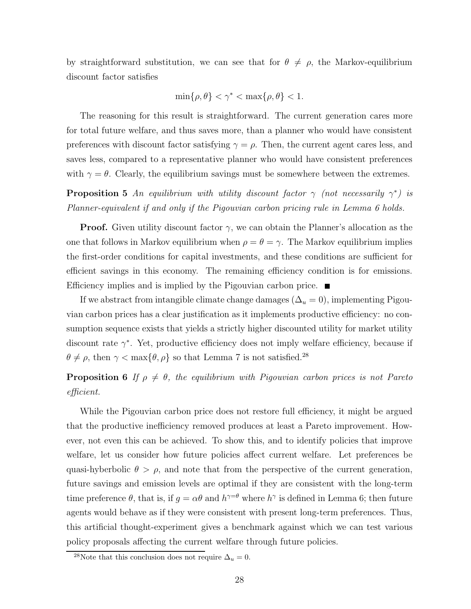by straightforward substitution, we can see that for  $\theta \neq \rho$ , the Markov-equilibrium discount factor satisfies

$$
\min\{\rho,\theta\}<\gamma^*<\max\{\rho,\theta\}<1.
$$

The reasoning for this result is straightforward. The current generation cares more for total future welfare, and thus saves more, than a planner who would have consistent preferences with discount factor satisfying  $\gamma = \rho$ . Then, the current agent cares less, and saves less, compared to a representative planner who would have consistent preferences with  $\gamma = \theta$ . Clearly, the equilibrium savings must be somewhere between the extremes.

**Proposition 5** An equilibrium with utility discount factor  $\gamma$  (not necessarily  $\gamma^*$ ) is Planner-equivalent if and only if the Pigouvian carbon pricing rule in Lemma 6 holds.

**Proof.** Given utility discount factor  $\gamma$ , we can obtain the Planner's allocation as the one that follows in Markov equilibrium when  $\rho = \theta = \gamma$ . The Markov equilibrium implies the first-order conditions for capital investments, and these conditions are sufficient for efficient savings in this economy. The remaining efficiency condition is for emissions. Efficiency implies and is implied by the Pigouvian carbon price.  $\blacksquare$ 

If we abstract from intangible climate change damages  $(\Delta_u = 0)$ , implementing Pigouvian carbon prices has a clear justification as it implements productive efficiency: no consumption sequence exists that yields a strictly higher discounted utility for market utility discount rate  $\gamma^*$ . Yet, productive efficiency does not imply welfare efficiency, because if  $\theta \neq \rho$ , then  $\gamma < \max{\lbrace \theta, \rho \rbrace}$  so that Lemma 7 is not satisfied.<sup>28</sup>

## **Proposition 6** If  $\rho \neq \theta$ , the equilibrium with Pigouvian carbon prices is not Pareto efficient.

While the Pigouvian carbon price does not restore full efficiency, it might be argued that the productive inefficiency removed produces at least a Pareto improvement. However, not even this can be achieved. To show this, and to identify policies that improve welfare, let us consider how future policies affect current welfare. Let preferences be quasi-hyberbolic  $\theta > \rho$ , and note that from the perspective of the current generation, future savings and emission levels are optimal if they are consistent with the long-term time preference  $\theta$ , that is, if  $g = \alpha \theta$  and  $h^{\gamma=\theta}$  where  $h^{\gamma}$  is defined in Lemma 6; then future agents would behave as if they were consistent with present long-term preferences. Thus, this artificial thought-experiment gives a benchmark against which we can test various policy proposals affecting the current welfare through future policies.

<sup>&</sup>lt;sup>28</sup>Note that this conclusion does not require  $\Delta_u = 0$ .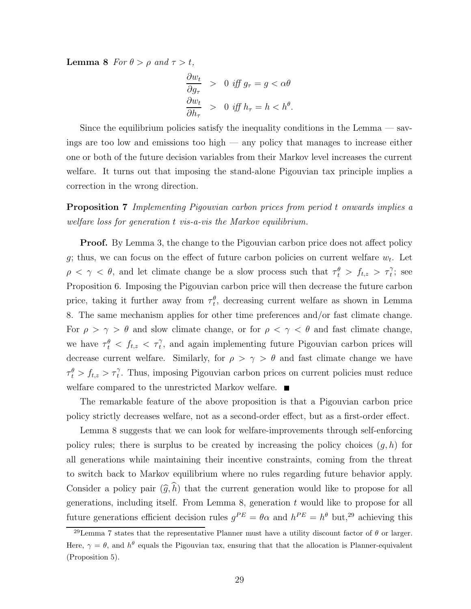**Lemma 8** For  $\theta > \rho$  and  $\tau > t$ ,

$$
\frac{\partial w_t}{\partial g_\tau} > 0 \text{ iff } g_\tau = g < \alpha \theta
$$
\n
$$
\frac{\partial w_t}{\partial h_\tau} > 0 \text{ iff } h_\tau = h < h^\theta.
$$

Since the equilibrium policies satisfy the inequality conditions in the Lemma — savings are too low and emissions too high — any policy that manages to increase either one or both of the future decision variables from their Markov level increases the current welfare. It turns out that imposing the stand-alone Pigouvian tax principle implies a correction in the wrong direction.

Proposition 7 Implementing Pigouvian carbon prices from period t onwards implies a welfare loss for generation t vis-a-vis the Markov equilibrium.

**Proof.** By Lemma 3, the change to the Pigouvian carbon price does not affect policy g; thus, we can focus on the effect of future carbon policies on current welfare  $w_t$ . Let  $\rho \leq \gamma \leq \theta$ , and let climate change be a slow process such that  $\tau_t^{\theta} > f_{t,z} > \tau_t^{\gamma}$ ; see Proposition 6. Imposing the Pigouvian carbon price will then decrease the future carbon price, taking it further away from  $\tau_t^{\theta}$ , decreasing current welfare as shown in Lemma 8. The same mechanism applies for other time preferences and/or fast climate change. For  $\rho > \gamma > \theta$  and slow climate change, or for  $\rho < \gamma < \theta$  and fast climate change, we have  $\tau_t^{\theta} < f_{t,z} < \tau_t^{\gamma}$ , and again implementing future Pigouvian carbon prices will decrease current welfare. Similarly, for  $\rho > \gamma > \theta$  and fast climate change we have  $\tau_t^{\theta} > f_{t,z} > \tau_t^{\gamma}$ . Thus, imposing Pigouvian carbon prices on current policies must reduce welfare compared to the unrestricted Markov welfare.

The remarkable feature of the above proposition is that a Pigouvian carbon price policy strictly decreases welfare, not as a second-order effect, but as a first-order effect.

Lemma 8 suggests that we can look for welfare-improvements through self-enforcing policy rules; there is surplus to be created by increasing the policy choices  $(g, h)$  for all generations while maintaining their incentive constraints, coming from the threat to switch back to Markov equilibrium where no rules regarding future behavior apply. Consider a policy pair  $(\widehat{g}, \widehat{h})$  that the current generation would like to propose for all generations, including itself. From Lemma 8, generation  $t$  would like to propose for all future generations efficient decision rules  $g^{PE} = \theta \alpha$  and  $h^{PE} = h^{\theta}$  but,<sup>29</sup> achieving this

<sup>&</sup>lt;sup>29</sup>Lemma 7 states that the representative Planner must have a utility discount factor of  $\theta$  or larger. Here,  $\gamma = \theta$ , and  $h^{\theta}$  equals the Pigouvian tax, ensuring that that the allocation is Planner-equivalent (Proposition 5).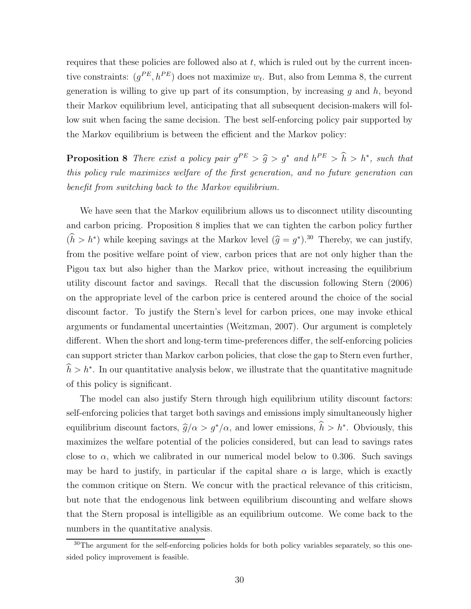requires that these policies are followed also at  $t$ , which is ruled out by the current incentive constraints:  $(g^{PE}, h^{PE})$  does not maximize  $w_t$ . But, also from Lemma 8, the current generation is willing to give up part of its consumption, by increasing  $g$  and  $h$ , beyond their Markov equilibrium level, anticipating that all subsequent decision-makers will follow suit when facing the same decision. The best self-enforcing policy pair supported by the Markov equilibrium is between the efficient and the Markov policy:

**Proposition 8** There exist a policy pair  $g^{PE} > \hat{g} > g^*$  and  $h^{PE} > \hat{h} > h^*$ , such that this policy rule maximizes welfare of the first generation, and no future generation can benefit from switching back to the Markov equilibrium.

We have seen that the Markov equilibrium allows us to disconnect utility discounting and carbon pricing. Proposition 8 implies that we can tighten the carbon policy further  $(h > h^*)$  while keeping savings at the Markov level  $(\hat{g} = g^*)$ .<sup>30</sup> Thereby, we can justify, from the positive welfare point of view, carbon prices that are not only higher than the Pigou tax but also higher than the Markov price, without increasing the equilibrium utility discount factor and savings. Recall that the discussion following Stern (2006) on the appropriate level of the carbon price is centered around the choice of the social discount factor. To justify the Stern's level for carbon prices, one may invoke ethical arguments or fundamental uncertainties (Weitzman, 2007). Our argument is completely different. When the short and long-term time-preferences differ, the self-enforcing policies can support stricter than Markov carbon policies, that close the gap to Stern even further,  $\hat{h} > h^*$ . In our quantitative analysis below, we illustrate that the quantitative magnitude of this policy is significant.

The model can also justify Stern through high equilibrium utility discount factors: self-enforcing policies that target both savings and emissions imply simultaneously higher equilibrium discount factors,  $\hat{g}/\alpha > g^*/\alpha$ , and lower emissions,  $\hat{h} > h^*$ . Obviously, this maximizes the welfare potential of the policies considered, but can lead to savings rates close to  $\alpha$ , which we calibrated in our numerical model below to 0.306. Such savings may be hard to justify, in particular if the capital share  $\alpha$  is large, which is exactly the common critique on Stern. We concur with the practical relevance of this criticism, but note that the endogenous link between equilibrium discounting and welfare shows that the Stern proposal is intelligible as an equilibrium outcome. We come back to the numbers in the quantitative analysis.

<sup>&</sup>lt;sup>30</sup>The argument for the self-enforcing policies holds for both policy variables separately, so this onesided policy improvement is feasible.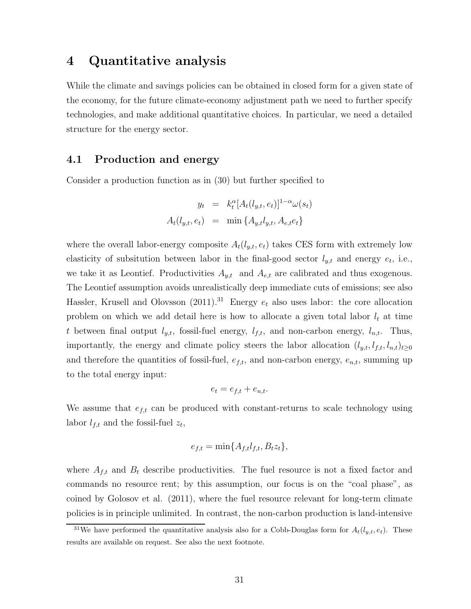## 4 Quantitative analysis

While the climate and savings policies can be obtained in closed form for a given state of the economy, for the future climate-economy adjustment path we need to further specify technologies, and make additional quantitative choices. In particular, we need a detailed structure for the energy sector.

## 4.1 Production and energy

Consider a production function as in (30) but further specified to

$$
y_t = k_t^{\alpha} [A_t(l_{y,t}, e_t)]^{1-\alpha} \omega(s_t)
$$

$$
A_t(l_{y,t}, e_t) = \min \{A_{y,t}l_{y,t}, A_{e,t}e_t\}
$$

where the overall labor-energy composite  $A_t(l_{y,t}, e_t)$  takes CES form with extremely low elasticity of subsitution between labor in the final-good sector  $l_{y,t}$  and energy  $e_t$ , i.e., we take it as Leontief. Productivities  $A_{y,t}$  and  $A_{e,t}$  are calibrated and thus exogenous. The Leontief assumption avoids unrealistically deep immediate cuts of emissions; see also Hassler, Krusell and Olovsson  $(2011).^{31}$  Energy  $e_t$  also uses labor: the core allocation problem on which we add detail here is how to allocate a given total labor  $l_t$  at time t between final output  $l_{y,t}$ , fossil-fuel energy,  $l_{f,t}$ , and non-carbon energy,  $l_{n,t}$ . Thus, importantly, the energy and climate policy steers the labor allocation  $(l_{y,t}, l_{f,t}, l_{n,t})_{t\geq 0}$ and therefore the quantities of fossil-fuel,  $e_{f,t}$ , and non-carbon energy,  $e_{n,t}$ , summing up to the total energy input:

$$
e_t = e_{f,t} + e_{n,t}.
$$

We assume that  $e_{f,t}$  can be produced with constant-returns to scale technology using labor  $l_{f,t}$  and the fossil-fuel  $z_t$ ,

$$
e_{f,t} = \min\{A_{f,t}l_{f,t}, B_t z_t\},\
$$

where  $A_{f,t}$  and  $B_t$  describe productivities. The fuel resource is not a fixed factor and commands no resource rent; by this assumption, our focus is on the "coal phase", as coined by Golosov et al. (2011), where the fuel resource relevant for long-term climate policies is in principle unlimited. In contrast, the non-carbon production is land-intensive

<sup>&</sup>lt;sup>31</sup>We have performed the quantitative analysis also for a Cobb-Douglas form for  $A_t(l_{y,t}, e_t)$ . These results are available on request. See also the next footnote.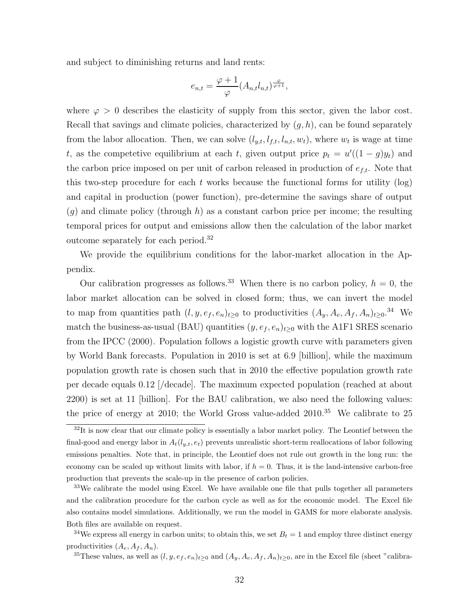and subject to diminishing returns and land rents:

$$
e_{n,t} = \frac{\varphi + 1}{\varphi} (A_{n,t} l_{n,t})^{\frac{\varphi}{\varphi + 1}},
$$

where  $\varphi > 0$  describes the elasticity of supply from this sector, given the labor cost. Recall that savings and climate policies, characterized by  $(q, h)$ , can be found separately from the labor allocation. Then, we can solve  $(l_{y,t}, l_{f,t}, l_{n,t}, w_t)$ , where  $w_t$  is wage at time t, as the competetive equilibrium at each t, given output price  $p_t = u'((1 - g)y_t)$  and the carbon price imposed on per unit of carbon released in production of  $e_{f,t}$ . Note that this two-step procedure for each t works because the functional forms for utility  $(\log)$ and capital in production (power function), pre-determine the savings share of output  $(g)$  and climate policy (through h) as a constant carbon price per income; the resulting temporal prices for output and emissions allow then the calculation of the labor market outcome separately for each period.<sup>32</sup>

We provide the equilibrium conditions for the labor-market allocation in the Appendix.

Our calibration progresses as follows.<sup>33</sup> When there is no carbon policy,  $h = 0$ , the labor market allocation can be solved in closed form; thus, we can invert the model to map from quantities path  $(l, y, e_f, e_n)_{t\geq 0}$  to productivities  $(A_y, A_e, A_f, A_n)_{t\geq 0}$ .<sup>34</sup> We match the business-as-usual (BAU) quantities  $(y, e_f, e_n)_{t\geq 0}$  with the A1F1 SRES scenario from the IPCC (2000). Population follows a logistic growth curve with parameters given by World Bank forecasts. Population in 2010 is set at 6.9 [billion], while the maximum population growth rate is chosen such that in 2010 the effective population growth rate per decade equals 0.12 [/decade]. The maximum expected population (reached at about 2200) is set at 11 [billion]. For the BAU calibration, we also need the following values: the price of energy at 2010; the World Gross value-added 2010.<sup>35</sup> We calibrate to 25

 $32$ It is now clear that our climate policy is essentially a labor market policy. The Leontief between the final-good and energy labor in  $A_t(l_{y,t}, e_t)$  prevents unrealistic short-term reallocations of labor following emissions penalties. Note that, in principle, the Leontief does not rule out growth in the long run: the economy can be scaled up without limits with labor, if  $h = 0$ . Thus, it is the land-intensive carbon-free production that prevents the scale-up in the presence of carbon policies.

<sup>&</sup>lt;sup>33</sup>We calibrate the model using Excel. We have available one file that pulls together all parameters and the calibration procedure for the carbon cycle as well as for the economic model. The Excel file also contains model simulations. Additionally, we run the model in GAMS for more elaborate analysis. Both files are available on request.

<sup>&</sup>lt;sup>34</sup>We express all energy in carbon units; to obtain this, we set  $B_t = 1$  and employ three distinct energy productivities  $(A_e, A_f, A_n)$ .

<sup>&</sup>lt;sup>35</sup>These values, as well as  $(l, y, e_f, e_n)_{t\geq 0}$  and  $(A_y, A_e, A_f, A_n)_{t\geq 0}$ , are in the Excel file (sheet "calibra-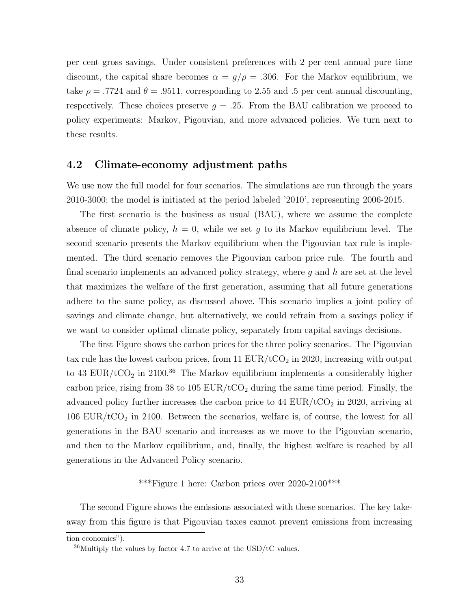per cent gross savings. Under consistent preferences with 2 per cent annual pure time discount, the capital share becomes  $\alpha = g/\rho = .306$ . For the Markov equilibrium, we take  $\rho = .7724$  and  $\theta = .9511$ , corresponding to 2.55 and .5 per cent annual discounting, respectively. These choices preserve  $g = .25$ . From the BAU calibration we proceed to policy experiments: Markov, Pigouvian, and more advanced policies. We turn next to these results.

### 4.2 Climate-economy adjustment paths

We use now the full model for four scenarios. The simulations are run through the years 2010-3000; the model is initiated at the period labeled '2010', representing 2006-2015.

The first scenario is the business as usual (BAU), where we assume the complete absence of climate policy,  $h = 0$ , while we set g to its Markov equilibrium level. The second scenario presents the Markov equilibrium when the Pigouvian tax rule is implemented. The third scenario removes the Pigouvian carbon price rule. The fourth and final scenario implements an advanced policy strategy, where  $q$  and  $h$  are set at the level that maximizes the welfare of the first generation, assuming that all future generations adhere to the same policy, as discussed above. This scenario implies a joint policy of savings and climate change, but alternatively, we could refrain from a savings policy if we want to consider optimal climate policy, separately from capital savings decisions.

The first Figure shows the carbon prices for the three policy scenarios. The Pigouvian tax rule has the lowest carbon prices, from 11  $EUR/tCO<sub>2</sub>$  in 2020, increasing with output to 43 EUR/tCO<sub>2</sub> in 2100.<sup>36</sup> The Markov equilibrium implements a considerably higher carbon price, rising from 38 to 105  $EUR/ tCO<sub>2</sub>$  during the same time period. Finally, the advanced policy further increases the carbon price to  $44 \text{ EUR}/t\text{CO}_2$  in 2020, arriving at  $106$  EUR/tCO<sub>2</sub> in 2100. Between the scenarios, welfare is, of course, the lowest for all generations in the BAU scenario and increases as we move to the Pigouvian scenario, and then to the Markov equilibrium, and, finally, the highest welfare is reached by all generations in the Advanced Policy scenario.

## \*\*\*Figure 1 here: Carbon prices over 2020-2100\*\*\*

The second Figure shows the emissions associated with these scenarios. The key takeaway from this figure is that Pigouvian taxes cannot prevent emissions from increasing

tion economics").

 $36$ Multiply the values by factor 4.7 to arrive at the USD/tC values.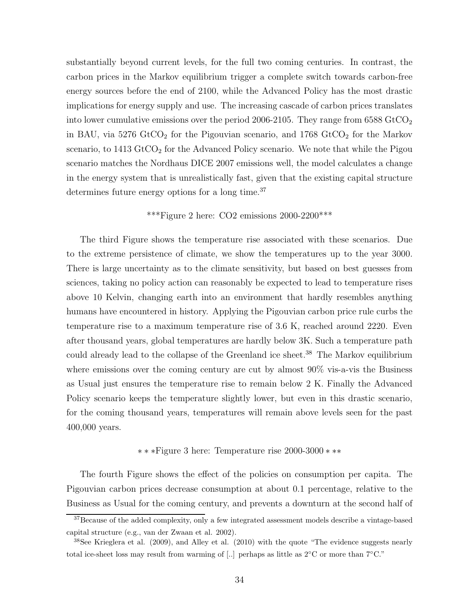substantially beyond current levels, for the full two coming centuries. In contrast, the carbon prices in the Markov equilibrium trigger a complete switch towards carbon-free energy sources before the end of 2100, while the Advanced Policy has the most drastic implications for energy supply and use. The increasing cascade of carbon prices translates into lower cumulative emissions over the period 2006-2105. They range from  $6588 \text{ GtCO}_2$ in BAU, via  $5276 \text{ GtCO}_2$  for the Pigouvian scenario, and  $1768 \text{ GtCO}_2$  for the Markov scenario, to  $1413 \text{ GtCO}_2$  for the Advanced Policy scenario. We note that while the Pigou scenario matches the Nordhaus DICE 2007 emissions well, the model calculates a change in the energy system that is unrealistically fast, given that the existing capital structure determines future energy options for a long time.<sup>37</sup>

#### \*\*\*Figure 2 here:  $CO2$  emissions  $2000-2200$ \*\*\*

The third Figure shows the temperature rise associated with these scenarios. Due to the extreme persistence of climate, we show the temperatures up to the year 3000. There is large uncertainty as to the climate sensitivity, but based on best guesses from sciences, taking no policy action can reasonably be expected to lead to temperature rises above 10 Kelvin, changing earth into an environment that hardly resembles anything humans have encountered in history. Applying the Pigouvian carbon price rule curbs the temperature rise to a maximum temperature rise of 3.6 K, reached around 2220. Even after thousand years, global temperatures are hardly below 3K. Such a temperature path could already lead to the collapse of the Greenland ice sheet.<sup>38</sup> The Markov equilibrium where emissions over the coming century are cut by almost 90% vis-a-vis the Business as Usual just ensures the temperature rise to remain below 2 K. Finally the Advanced Policy scenario keeps the temperature slightly lower, but even in this drastic scenario, for the coming thousand years, temperatures will remain above levels seen for the past 400,000 years.

#### ∗ ∗ ∗Figure 3 here: Temperature rise 2000-3000 ∗ ∗∗

The fourth Figure shows the effect of the policies on consumption per capita. The Pigouvian carbon prices decrease consumption at about 0.1 percentage, relative to the Business as Usual for the coming century, and prevents a downturn at the second half of

<sup>&</sup>lt;sup>37</sup>Because of the added complexity, only a few integrated assessment models describe a vintage-based capital structure (e.g., van der Zwaan et al. 2002).

<sup>38</sup>See Krieglera et al. (2009), and Alley et al. (2010) with the quote "The evidence suggests nearly total ice-sheet loss may result from warming of [..] perhaps as little as 2<sup>°</sup>C or more than 7<sup>°</sup>C.<sup>"</sup>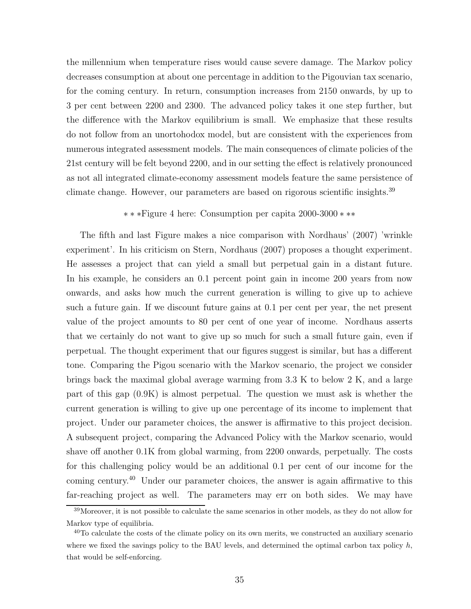the millennium when temperature rises would cause severe damage. The Markov policy decreases consumption at about one percentage in addition to the Pigouvian tax scenario, for the coming century. In return, consumption increases from 2150 onwards, by up to 3 per cent between 2200 and 2300. The advanced policy takes it one step further, but the difference with the Markov equilibrium is small. We emphasize that these results do not follow from an unortohodox model, but are consistent with the experiences from numerous integrated assessment models. The main consequences of climate policies of the 21st century will be felt beyond 2200, and in our setting the effect is relatively pronounced as not all integrated climate-economy assessment models feature the same persistence of climate change. However, our parameters are based on rigorous scientific insights.<sup>39</sup>

#### ∗ ∗ ∗Figure 4 here: Consumption per capita 2000-3000 ∗ ∗∗

The fifth and last Figure makes a nice comparison with Nordhaus' (2007) 'wrinkle experiment'. In his criticism on Stern, Nordhaus (2007) proposes a thought experiment. He assesses a project that can yield a small but perpetual gain in a distant future. In his example, he considers an 0.1 percent point gain in income 200 years from now onwards, and asks how much the current generation is willing to give up to achieve such a future gain. If we discount future gains at 0.1 per cent per year, the net present value of the project amounts to 80 per cent of one year of income. Nordhaus asserts that we certainly do not want to give up so much for such a small future gain, even if perpetual. The thought experiment that our figures suggest is similar, but has a different tone. Comparing the Pigou scenario with the Markov scenario, the project we consider brings back the maximal global average warming from 3.3 K to below 2 K, and a large part of this gap (0.9K) is almost perpetual. The question we must ask is whether the current generation is willing to give up one percentage of its income to implement that project. Under our parameter choices, the answer is affirmative to this project decision. A subsequent project, comparing the Advanced Policy with the Markov scenario, would shave off another 0.1K from global warming, from 2200 onwards, perpetually. The costs for this challenging policy would be an additional 0.1 per cent of our income for the coming century.<sup>40</sup> Under our parameter choices, the answer is again affirmative to this far-reaching project as well. The parameters may err on both sides. We may have

<sup>39</sup>Moreover, it is not possible to calculate the same scenarios in other models, as they do not allow for Markov type of equilibria.

<sup>&</sup>lt;sup>40</sup>To calculate the costs of the climate policy on its own merits, we constructed an auxiliary scenario where we fixed the savings policy to the BAU levels, and determined the optimal carbon tax policy  $h$ , that would be self-enforcing.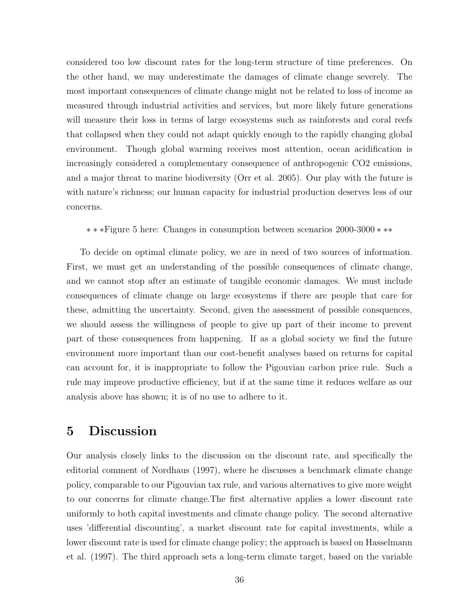considered too low discount rates for the long-term structure of time preferences. On the other hand, we may underestimate the damages of climate change severely. The most important consequences of climate change might not be related to loss of income as measured through industrial activities and services, but more likely future generations will measure their loss in terms of large ecosystems such as rainforests and coral reefs that collapsed when they could not adapt quickly enough to the rapidly changing global environment. Though global warming receives most attention, ocean acidification is increasingly considered a complementary consequence of anthropogenic CO2 emissions, and a major threat to marine biodiversity (Orr et al. 2005). Our play with the future is with nature's richness; our human capacity for industrial production deserves less of our concerns.

∗ ∗ ∗Figure 5 here: Changes in consumption between scenarios 2000-3000 ∗ ∗∗

To decide on optimal climate policy, we are in need of two sources of information. First, we must get an understanding of the possible consequences of climate change, and we cannot stop after an estimate of tangible economic damages. We must include consequences of climate change on large ecosystems if there are people that care for these, admitting the uncertainty. Second, given the assessment of possible consquences, we should assess the willingness of people to give up part of their income to prevent part of these consequences from happening. If as a global society we find the future environment more important than our cost-benefit analyses based on returns for capital can account for, it is inappropriate to follow the Pigouvian carbon price rule. Such a rule may improve productive efficiency, but if at the same time it reduces welfare as our analysis above has shown; it is of no use to adhere to it.

# 5 Discussion

Our analysis closely links to the discussion on the discount rate, and specifically the editorial comment of Nordhaus (1997), where he discusses a benchmark climate change policy, comparable to our Pigouvian tax rule, and various alternatives to give more weight to our concerns for climate change.The first alternative applies a lower discount rate uniformly to both capital investments and climate change policy. The second alternative uses 'differential discounting', a market discount rate for capital investments, while a lower discount rate is used for climate change policy; the approach is based on Hasselmann et al. (1997). The third approach sets a long-term climate target, based on the variable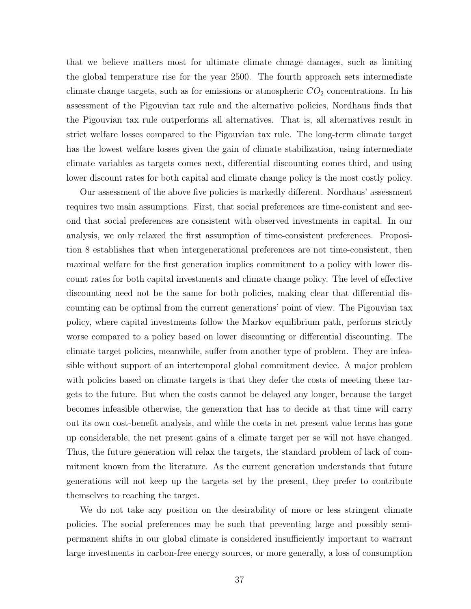that we believe matters most for ultimate climate chnage damages, such as limiting the global temperature rise for the year 2500. The fourth approach sets intermediate climate change targets, such as for emissions or atmospheric  $CO<sub>2</sub>$  concentrations. In his assessment of the Pigouvian tax rule and the alternative policies, Nordhaus finds that the Pigouvian tax rule outperforms all alternatives. That is, all alternatives result in strict welfare losses compared to the Pigouvian tax rule. The long-term climate target has the lowest welfare losses given the gain of climate stabilization, using intermediate climate variables as targets comes next, differential discounting comes third, and using lower discount rates for both capital and climate change policy is the most costly policy.

Our assessment of the above five policies is markedly different. Nordhaus' assessment requires two main assumptions. First, that social preferences are time-conistent and second that social preferences are consistent with observed investments in capital. In our analysis, we only relaxed the first assumption of time-consistent preferences. Proposition 8 establishes that when intergenerational preferences are not time-consistent, then maximal welfare for the first generation implies commitment to a policy with lower discount rates for both capital investments and climate change policy. The level of effective discounting need not be the same for both policies, making clear that differential discounting can be optimal from the current generations' point of view. The Pigouvian tax policy, where capital investments follow the Markov equilibrium path, performs strictly worse compared to a policy based on lower discounting or differential discounting. The climate target policies, meanwhile, suffer from another type of problem. They are infeasible without support of an intertemporal global commitment device. A major problem with policies based on climate targets is that they defer the costs of meeting these targets to the future. But when the costs cannot be delayed any longer, because the target becomes infeasible otherwise, the generation that has to decide at that time will carry out its own cost-benefit analysis, and while the costs in net present value terms has gone up considerable, the net present gains of a climate target per se will not have changed. Thus, the future generation will relax the targets, the standard problem of lack of commitment known from the literature. As the current generation understands that future generations will not keep up the targets set by the present, they prefer to contribute themselves to reaching the target.

We do not take any position on the desirability of more or less stringent climate policies. The social preferences may be such that preventing large and possibly semipermanent shifts in our global climate is considered insufficiently important to warrant large investments in carbon-free energy sources, or more generally, a loss of consumption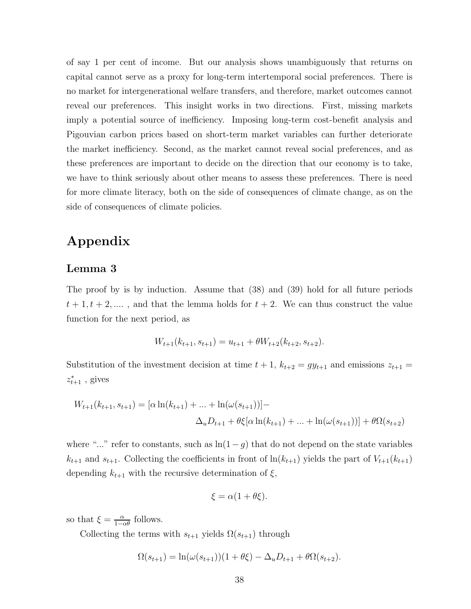of say 1 per cent of income. But our analysis shows unambiguously that returns on capital cannot serve as a proxy for long-term intertemporal social preferences. There is no market for intergenerational welfare transfers, and therefore, market outcomes cannot reveal our preferences. This insight works in two directions. First, missing markets imply a potential source of inefficiency. Imposing long-term cost-benefit analysis and Pigouvian carbon prices based on short-term market variables can further deteriorate the market inefficiency. Second, as the market cannot reveal social preferences, and as these preferences are important to decide on the direction that our economy is to take, we have to think seriously about other means to assess these preferences. There is need for more climate literacy, both on the side of consequences of climate change, as on the side of consequences of climate policies.

# Appendix

## Lemma 3

The proof by is by induction. Assume that (38) and (39) hold for all future periods  $t + 1, t + 2, \dots$ , and that the lemma holds for  $t + 2$ . We can thus construct the value function for the next period, as

$$
W_{t+1}(k_{t+1}, s_{t+1}) = u_{t+1} + \theta W_{t+2}(k_{t+2}, s_{t+2}).
$$

Substitution of the investment decision at time  $t + 1$ ,  $k_{t+2} = gy_{t+1}$  and emissions  $z_{t+1} =$  $z_{t+1}^*$ , gives

$$
W_{t+1}(k_{t+1}, s_{t+1}) = [\alpha \ln(k_{t+1}) + ... + \ln(\omega(s_{t+1}))] -
$$
  

$$
\Delta_u D_{t+1} + \theta \xi [\alpha \ln(k_{t+1}) + ... + \ln(\omega(s_{t+1}))] + \theta \Omega(s_{t+2})
$$

where "..." refer to constants, such as  $\ln(1-g)$  that do not depend on the state variables  $k_{t+1}$  and  $s_{t+1}$ . Collecting the coefficients in front of  $\ln(k_{t+1})$  yields the part of  $V_{t+1}(k_{t+1})$ depending  $k_{t+1}$  with the recursive determination of  $\xi$ ,

$$
\xi = \alpha(1 + \theta \xi).
$$

so that  $\xi = \frac{\alpha}{1-\alpha\theta}$  follows.

Collecting the terms with  $s_{t+1}$  yields  $\Omega(s_{t+1})$  through

$$
\Omega(s_{t+1}) = \ln(\omega(s_{t+1}))(1 + \theta \xi) - \Delta_u D_{t+1} + \theta \Omega(s_{t+2}).
$$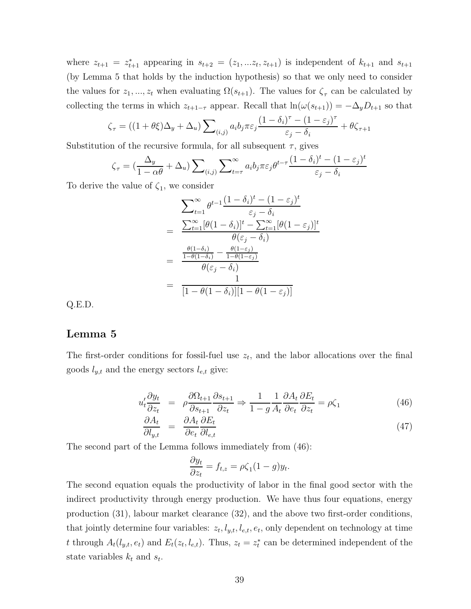where  $z_{t+1} = z_{t+1}^*$  appearing in  $s_{t+2} = (z_1, ... z_t, z_{t+1})$  is independent of  $k_{t+1}$  and  $s_{t+1}$ (by Lemma 5 that holds by the induction hypothesis) so that we only need to consider the values for  $z_1, ..., z_t$  when evaluating  $\Omega(s_{t+1})$ . The values for  $\zeta_\tau$  can be calculated by collecting the terms in which  $z_{t+1-\tau}$  appear. Recall that  $\ln(\omega(s_{t+1})) = -\Delta_y D_{t+1}$  so that

$$
\zeta_{\tau} = ((1 + \theta \xi) \Delta_y + \Delta_u) \sum_{(i,j)} a_i b_j \pi \varepsilon_j \frac{(1 - \delta_i)^{\tau} - (1 - \varepsilon_j)^{\tau}}{\varepsilon_j - \delta_i} + \theta \zeta_{\tau+1}
$$

Substitution of the recursive formula, for all subsequent  $\tau$ , gives

$$
\zeta_{\tau} = \left(\frac{\Delta_y}{1 - \alpha \theta} + \Delta_u\right) \sum_{(i,j)} \sum_{t = \tau}^{\infty} a_i b_j \pi \varepsilon_j \theta^{t - \tau} \frac{(1 - \delta_i)^t - (1 - \varepsilon_j)^t}{\varepsilon_j - \delta_i}
$$

To derive the value of  $\zeta_1$ , we consider

$$
\sum_{t=1}^{\infty} \theta^{t-1} \frac{(1-\delta_i)^t - (1-\varepsilon_j)^t}{\varepsilon_j - \delta_i}
$$
\n
$$
= \frac{\sum_{t=1}^{\infty} [\theta(1-\delta_i)]^t - \sum_{t=1}^{\infty} [\theta(1-\varepsilon_j)]^t}{\theta(\varepsilon_j - \delta_i)}
$$
\n
$$
= \frac{\frac{\theta(1-\delta_i)}{1-\theta(1-\delta_i)} - \frac{\theta(1-\varepsilon_j)}{1-\theta(1-\varepsilon_j)}}{\theta(\varepsilon_j - \delta_i)}
$$
\n
$$
= \frac{1}{[1-\theta(1-\delta_i)][1-\theta(1-\varepsilon_j)]}
$$

Q.E.D.

## Lemma 5

The first-order conditions for fossil-fuel use  $z_t$ , and the labor allocations over the final goods  $l_{y,t}$  and the energy sectors  $l_{e,t}$  give:

$$
u_t' \frac{\partial y_t}{\partial z_t} = \rho \frac{\partial \Omega_{t+1}}{\partial s_{t+1}} \frac{\partial s_{t+1}}{\partial z_t} \Rightarrow \frac{1}{1 - g} \frac{1}{A_t} \frac{\partial A_t}{\partial e_t} \frac{\partial E_t}{\partial z_t} = \rho \zeta_1 \tag{46}
$$

$$
\frac{\partial A_t}{\partial l_{y,t}} = \frac{\partial A_t}{\partial e_t} \frac{\partial E_t}{\partial l_{e,t}} \tag{47}
$$

The second part of the Lemma follows immediately from (46):

$$
\frac{\partial y_t}{\partial z_t} = f_{t,z} = \rho \zeta_1 (1 - g) y_t.
$$

The second equation equals the productivity of labor in the final good sector with the indirect productivity through energy production. We have thus four equations, energy production (31), labour market clearance (32), and the above two first-order conditions, that jointly determine four variables:  $z_t, l_{y,t}, l_{e,t}, e_t$ , only dependent on technology at time t through  $A_t(l_{y,t}, e_t)$  and  $E_t(z_t, l_{e,t})$ . Thus,  $z_t = z_t^*$  can be determined independent of the state variables  $k_t$  and  $s_t$ .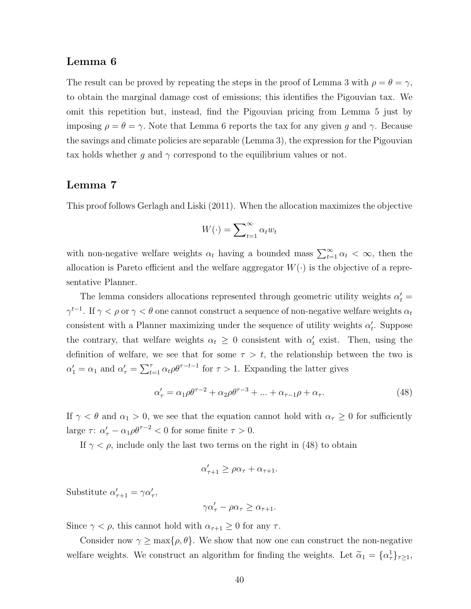## Lemma 6

The result can be proved by repeating the steps in the proof of Lemma 3 with  $\rho = \theta = \gamma$ , to obtain the marginal damage cost of emissions; this identifies the Pigouvian tax. We omit this repetition but, instead, find the Pigouvian pricing from Lemma 5 just by imposing  $\rho = \theta = \gamma$ . Note that Lemma 6 reports the tax for any given g and  $\gamma$ . Because the savings and climate policies are separable (Lemma 3), the expression for the Pigouvian tax holds whether g and  $\gamma$  correspond to the equilibrium values or not.

## Lemma 7

This proof follows Gerlagh and Liski (2011). When the allocation maximizes the objective

$$
W(\cdot) = \sum_{t=1}^{\infty} \alpha_t w_t
$$

with non-negative welfare weights  $\alpha_t$  having a bounded mass  $\sum_{t=1}^{\infty} \alpha_t < \infty$ , then the allocation is Pareto efficient and the welfare aggregator  $W(\cdot)$  is the objective of a representative Planner.

The lemma considers allocations represented through geometric utility weights  $\alpha'_t =$  $\gamma^{t-1}$ . If  $\gamma < \rho$  or  $\gamma < \theta$  one cannot construct a sequence of non-negative welfare weights  $\alpha_t$ consistent with a Planner maximizing under the sequence of utility weights  $\alpha'_{t}$ . Suppose the contrary, that welfare weights  $\alpha_t \geq 0$  consistent with  $\alpha'_t$  exist. Then, using the definition of welfare, we see that for some  $\tau > t$ , the relationship between the two is  $\alpha'_1 = \alpha_1$  and  $\alpha'_\tau = \sum_{t=1}^\tau \alpha_t \rho \theta^{\tau-t-1}$  for  $\tau > 1$ . Expanding the latter gives

$$
\alpha'_{\tau} = \alpha_1 \rho \theta^{\tau - 2} + \alpha_2 \rho \theta^{\tau - 3} + \dots + \alpha_{\tau - 1} \rho + \alpha_{\tau}.
$$
\n(48)

If  $\gamma < \theta$  and  $\alpha_1 > 0$ , we see that the equation cannot hold with  $\alpha_\tau \geq 0$  for sufficiently large  $\tau: \alpha'_{\tau} - \alpha_1 \rho \theta^{\tau-2} < 0$  for some finite  $\tau > 0$ .

If  $\gamma < \rho$ , include only the last two terms on the right in (48) to obtain

$$
\alpha'_{\tau+1} \ge \rho \alpha_{\tau} + \alpha_{\tau+1}.
$$

Substitute  $\alpha'_{\tau+1} = \gamma \alpha'_{\tau}$ ,

$$
\gamma \alpha'_{\tau} - \rho \alpha_{\tau} \ge \alpha_{\tau+1}.
$$

Since  $\gamma < \rho$ , this cannot hold with  $\alpha_{\tau+1} \geq 0$  for any  $\tau$ .

Consider now  $\gamma \ge \max\{\rho, \theta\}$ . We show that now one can construct the non-negative welfare weights. We construct an algorithm for finding the weights. Let  $\tilde{\alpha}_1 = {\alpha_7 \brace \tau \geq 1}$ ,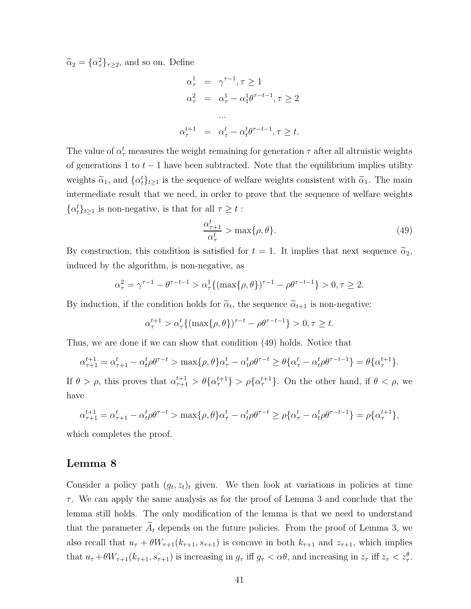$\widetilde{\alpha}_2 = {\alpha_\tau^2}_{\tau \geq 2}$ , and so on. Define

$$
\alpha_{\tau}^{1} = \gamma^{\tau-1}, \tau \ge 1
$$
  
\n
$$
\alpha_{\tau}^{2} = \alpha_{\tau}^{1} - \alpha_{1}^{1} \theta^{\tau-t-1}, \tau \ge 2
$$
  
\n...  
\n
$$
\alpha_{\tau}^{t+1} = \alpha_{\tau}^{t} - \alpha_{t}^{t} \theta^{\tau-t-1}, \tau \ge t.
$$

The value of  $\alpha_{\tau}^{t}$  measures the weight remaining for generation  $\tau$  after all altruistic weights of generations 1 to  $t-1$  have been subtracted. Note that the equilibrium implies utility weights  $\tilde{\alpha}_1$ , and  $\{\alpha_t^t\}_{t\geq 1}$  is the sequence of welfare weights consistent with  $\tilde{\alpha}_1$ . The main intermediate result that we need, in order to prove that the sequence of welfare weights  $\{\alpha_t^t\}_{t\geq 1}$  is non-negative, is that for all  $\tau \geq t$ :

$$
\frac{\alpha_{\tau+1}^t}{\alpha_{\tau}^t} > \max\{\rho, \theta\}.\tag{49}
$$

By construction, this condition is satisfied for  $t = 1$ . It implies that next sequence  $\tilde{\alpha}_2$ , induced by the algorithm, is non-negative, as

$$
\alpha_{\tau}^{2} = \gamma^{\tau-1} - \theta^{\tau-t-1} > \alpha_{\tau}^{1} \{ (\max\{\rho, \theta\})^{\tau-1} - \rho \theta^{\tau-t-1} \} > 0, \tau \ge 2.
$$

By induction, if the condition holds for  $\tilde{\alpha}_t$ , the sequence  $\tilde{\alpha}_{t+1}$  is non-negative:

$$
\alpha_{\tau}^{t+1} > \alpha_{\tau}^{t} \{ (\max\{\rho, \theta\})^{\tau - t} - \rho \theta^{\tau - t - 1} \} > 0, \tau \ge t.
$$

Thus, we are done if we can show that condition (49) holds. Notice that

$$
\alpha_{\tau+1}^{t+1} = \alpha_{\tau+1}^t - \alpha_t^t \rho \theta^{\tau-t} > \max\{\rho, \theta\} \alpha_{\tau}^t - \alpha_t^t \rho \theta^{\tau-t} \ge \theta \{\alpha_{\tau}^t - \alpha_t^t \rho \theta^{\tau-t-1}\} = \theta \{\alpha_{\tau}^{t+1}\}.
$$

If  $\theta > \rho$ , this proves that  $\alpha_{\tau+1}^{t+1} > \theta \{ \alpha_{\tau}^{t+1} \} > \rho \{ \alpha_{\tau}^{t+1} \}$ . On the other hand, if  $\theta < \rho$ , we have

$$
\alpha_{\tau+1}^{t+1} = \alpha_{\tau+1}^t - \alpha_t^t \rho \theta^{\tau-t} > \max\{\rho, \theta\} \alpha_{\tau}^t - \alpha_t^t \rho \theta^{\tau-t} \ge \rho \{\alpha_{\tau}^t - \alpha_t^t \rho \theta^{\tau-t-1}\} = \rho \{\alpha_{\tau}^{t+1}\},
$$

which completes the proof.

### Lemma 8

Consider a policy path  $(g_t, z_t)_t$  given. We then look at variations in policies at time  $\tau$ . We can apply the same analysis as for the proof of Lemma 3 and conclude that the lemma still holds. The only modification of the lemma is that we need to understand that the parameter  $A_t$  depends on the future policies. From the proof of Lemma 3, we also recall that  $u_{\tau} + \theta W_{\tau+1}(k_{\tau+1}, s_{\tau+1})$  is concave in both  $k_{\tau+1}$  and  $z_{\tau+1}$ , which implies that  $u_{\tau} + \theta W_{\tau+1}(k_{\tau+1}, s_{\tau+1})$  is increasing in  $g_{\tau}$  iff  $g_{\tau} < \alpha \theta$ , and increasing in  $z_{\tau}$  iff  $z_{\tau} < z_{\tau}^{\theta}$ .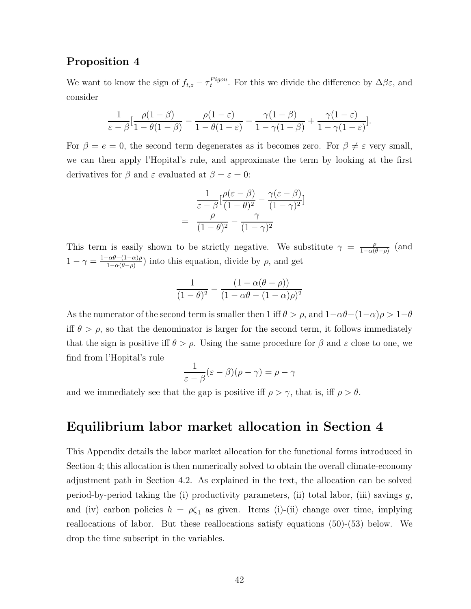## Proposition 4

We want to know the sign of  $f_{t,z} - \tau_t^{Pigou}$  $t^{rgou}$ . For this we divide the difference by  $\Delta \beta \varepsilon$ , and consider

$$
\frac{1}{\varepsilon - \beta} \left[ \frac{\rho(1-\beta)}{1 - \theta(1-\beta)} - \frac{\rho(1-\varepsilon)}{1 - \theta(1-\varepsilon)} - \frac{\gamma(1-\beta)}{1 - \gamma(1-\beta)} + \frac{\gamma(1-\varepsilon)}{1 - \gamma(1-\varepsilon)} \right].
$$

For  $\beta = e = 0$ , the second term degenerates as it becomes zero. For  $\beta \neq \varepsilon$  very small, we can then apply l'Hopital's rule, and approximate the term by looking at the first derivatives for  $\beta$  and  $\varepsilon$  evaluated at  $\beta = \varepsilon = 0$ :

$$
\frac{1}{\varepsilon - \beta} \left[ \frac{\rho(\varepsilon - \beta)}{(1 - \theta)^2} - \frac{\gamma(\varepsilon - \beta)}{(1 - \gamma)^2} \right]
$$
\n
$$
= \frac{\rho}{(1 - \theta)^2} - \frac{\gamma}{(1 - \gamma)^2}
$$

This term is easily shown to be strictly negative. We substitute  $\gamma = \frac{\rho}{1-\alpha\mu}$  $\frac{\rho}{1-\alpha(\theta-\rho)}$  (and  $1 - \gamma = \frac{1 - \alpha \theta - (1 - \alpha)\rho}{1 - \alpha(\theta - \rho)}$  $\frac{-\alpha\theta-(1-\alpha)\rho}{1-\alpha(\theta-\rho)}$  into this equation, divide by  $\rho$ , and get

$$
\frac{1}{(1-\theta)^2} - \frac{(1-\alpha(\theta-\rho))}{(1-\alpha\theta-(1-\alpha)\rho)^2}
$$

As the numerator of the second term is smaller then 1 iff  $\theta > \rho$ , and  $1-\alpha\theta-(1-\alpha)\rho > 1-\theta$ iff  $\theta > \rho$ , so that the denominator is larger for the second term, it follows immediately that the sign is positive iff  $\theta > \rho$ . Using the same procedure for  $\beta$  and  $\varepsilon$  close to one, we find from l'Hopital's rule

$$
\frac{1}{\varepsilon - \beta} (\varepsilon - \beta)(\rho - \gamma) = \rho - \gamma
$$

and we immediately see that the gap is positive iff  $\rho > \gamma$ , that is, iff  $\rho > \theta$ .

## Equilibrium labor market allocation in Section 4

This Appendix details the labor market allocation for the functional forms introduced in Section 4; this allocation is then numerically solved to obtain the overall climate-economy adjustment path in Section 4.2. As explained in the text, the allocation can be solved period-by-period taking the (i) productivity parameters, (ii) total labor, (iii) savings  $g$ , and (iv) carbon policies  $h = \rho \zeta_1$  as given. Items (i)-(ii) change over time, implying reallocations of labor. But these reallocations satisfy equations (50)-(53) below. We drop the time subscript in the variables.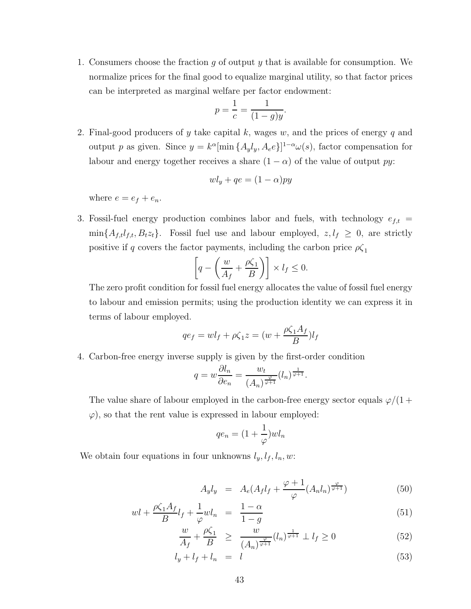1. Consumers choose the fraction g of output y that is available for consumption. We normalize prices for the final good to equalize marginal utility, so that factor prices can be interpreted as marginal welfare per factor endowment:

$$
p = \frac{1}{c} = \frac{1}{(1 - g)y}.
$$

2. Final-good producers of y take capital k, wages w, and the prices of energy q and output p as given. Since  $y = k^{\alpha}[\min\{A_y, A_e\}]^{1-\alpha} \omega(s)$ , factor compensation for labour and energy together receives a share  $(1 - \alpha)$  of the value of output py:

$$
w l_y + q e = (1 - \alpha) p y
$$

where  $e = e_f + e_n$ .

3. Fossil-fuel energy production combines labor and fuels, with technology  $e_{f,t}$  =  $\min\{A_{f,t}l_{f,t}, B_{t}z_{t}\}.$  Fossil fuel use and labour employed,  $z, l_f \geq 0$ , are strictly positive if q covers the factor payments, including the carbon price  $\rho \zeta_1$ 

$$
\left[q - \left(\frac{w}{A_f} + \frac{\rho \zeta_1}{B}\right)\right] \times l_f \le 0.
$$

The zero profit condition for fossil fuel energy allocates the value of fossil fuel energy to labour and emission permits; using the production identity we can express it in terms of labour employed.

$$
qe_f = w l_f + \rho \zeta_1 z = (w + \frac{\rho \zeta_1 A_f}{B}) l_f
$$

4. Carbon-free energy inverse supply is given by the first-order condition

$$
q = w \frac{\partial l_n}{\partial e_n} = \frac{w_t}{(A_n)^{\frac{\varphi}{\varphi + 1}}} (l_n)^{\frac{1}{\varphi + 1}}.
$$

The value share of labour employed in the carbon-free energy sector equals  $\varphi/(1 + \pi)$  $\varphi$ , so that the rent value is expressed in labour employed:

$$
qe_n=(1+\frac{1}{\varphi})wl_n
$$

We obtain four equations in four unknowns  $l_y, l_f, l_n, w$ :

$$
A_y l_y = A_e (A_f l_f + \frac{\varphi + 1}{\varphi} (A_n l_n)^{\frac{\varphi}{\varphi + 1}})
$$
\n
$$
(50)
$$

$$
wl + \frac{\rho \zeta_1 A_f}{B} l_f + \frac{1}{\varphi} w l_n = \frac{1 - \alpha}{1 - g} \tag{51}
$$

$$
\frac{w}{A_f} + \frac{\rho \zeta_1}{B} \ge \frac{w}{(A_n)^{\frac{\varphi}{\varphi+1}}} (l_n)^{\frac{1}{\varphi+1}} \perp l_f \ge 0 \tag{52}
$$

$$
l_y + l_f + l_n = l \tag{53}
$$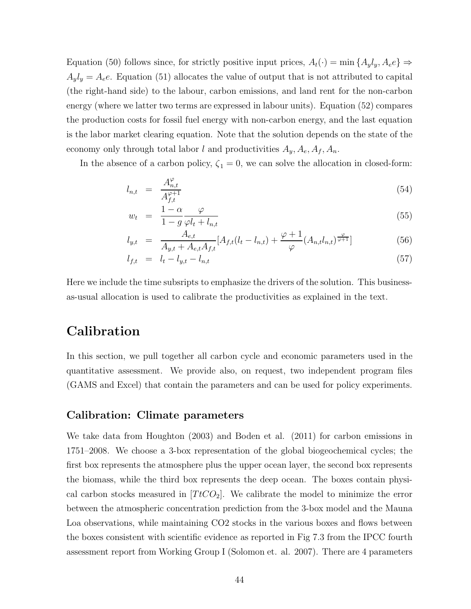Equation (50) follows since, for strictly positive input prices,  $A_t(\cdot) = \min\{A_y l_y, A_e e\} \Rightarrow$  $A_y l_y = A_e e$ . Equation (51) allocates the value of output that is not attributed to capital (the right-hand side) to the labour, carbon emissions, and land rent for the non-carbon energy (where we latter two terms are expressed in labour units). Equation (52) compares the production costs for fossil fuel energy with non-carbon energy, and the last equation is the labor market clearing equation. Note that the solution depends on the state of the economy only through total labor l and productivities  $A_y, A_e, A_f, A_n$ .

In the absence of a carbon policy,  $\zeta_1 = 0$ , we can solve the allocation in closed-form:

$$
l_{n,t} = \frac{A_{n,t}^{\varphi}}{A_{f,t}^{\varphi+1}} \tag{54}
$$

$$
w_t = \frac{1 - \alpha}{1 - g} \frac{\varphi}{\varphi l_t + l_{n,t}} \tag{55}
$$

$$
l_{y,t} = \frac{A_{e,t}}{A_{y,t} + A_{e,t}A_{f,t}} [A_{f,t}(l_t - l_{n,t}) + \frac{\varphi + 1}{\varphi} (A_{n,t}l_{n,t})^{\frac{\varphi}{\varphi + 1}}]
$$
(56)

$$
l_{f,t} = l_t - l_{y,t} - l_{n,t} \tag{57}
$$

Here we include the time subsripts to emphasize the drivers of the solution. This businessas-usual allocation is used to calibrate the productivities as explained in the text.

# Calibration

In this section, we pull together all carbon cycle and economic parameters used in the quantitative assessment. We provide also, on request, two independent program files (GAMS and Excel) that contain the parameters and can be used for policy experiments.

#### Calibration: Climate parameters

We take data from Houghton (2003) and Boden et al. (2011) for carbon emissions in 1751–2008. We choose a 3-box representation of the global biogeochemical cycles; the first box represents the atmosphere plus the upper ocean layer, the second box represents the biomass, while the third box represents the deep ocean. The boxes contain physical carbon stocks measured in  $[TtCO_2]$ . We calibrate the model to minimize the error between the atmospheric concentration prediction from the 3-box model and the Mauna Loa observations, while maintaining CO2 stocks in the various boxes and flows between the boxes consistent with scientific evidence as reported in Fig 7.3 from the IPCC fourth assessment report from Working Group I (Solomon et. al. 2007). There are 4 parameters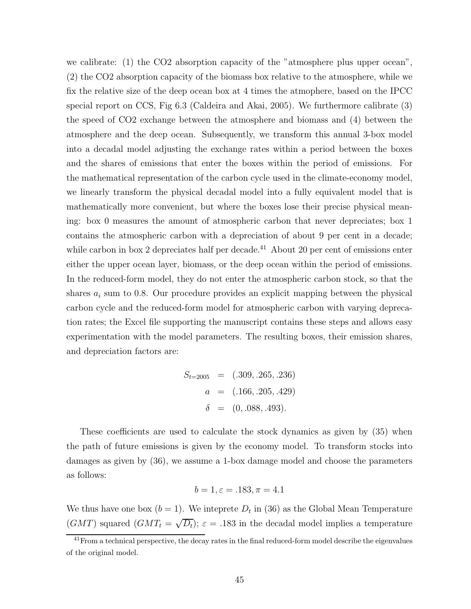we calibrate: (1) the CO2 absorption capacity of the "atmosphere plus upper ocean", (2) the CO2 absorption capacity of the biomass box relative to the atmosphere, while we fix the relative size of the deep ocean box at 4 times the atmophere, based on the IPCC special report on CCS, Fig 6.3 (Caldeira and Akai, 2005). We furthermore calibrate (3) the speed of CO2 exchange between the atmosphere and biomass and (4) between the atmosphere and the deep ocean. Subsequently, we transform this annual 3-box model into a decadal model adjusting the exchange rates within a period between the boxes and the shares of emissions that enter the boxes within the period of emissions. For the mathematical representation of the carbon cycle used in the climate-economy model, we linearly transform the physical decadal model into a fully equivalent model that is mathematically more convenient, but where the boxes lose their precise physical meaning: box 0 measures the amount of atmospheric carbon that never depreciates; box 1 contains the atmospheric carbon with a depreciation of about 9 per cent in a decade; while carbon in box 2 depreciates half per decade.<sup>41</sup> About 20 per cent of emissions enter either the upper ocean layer, biomass, or the deep ocean within the period of emissions. In the reduced-form model, they do not enter the atmospheric carbon stock, so that the shares  $a_i$  sum to 0.8. Our procedure provides an explicit mapping between the physical carbon cycle and the reduced-form model for atmospheric carbon with varying deprecation rates; the Excel file supporting the manuscript contains these steps and allows easy experimentation with the model parameters. The resulting boxes, their emission shares, and depreciation factors are:

$$
S_{t=2005} = (.309, .265, .236)
$$

$$
a = (.166, .205, .429)
$$

$$
\delta = (0, .088, .493).
$$

These coefficients are used to calculate the stock dynamics as given by (35) when the path of future emissions is given by the economy model. To transform stocks into damages as given by (36), we assume a 1-box damage model and choose the parameters as follows:

$$
b = 1, \varepsilon = .183, \pi = 4.1
$$

We thus have one box  $(b = 1)$ . We inteprete  $D_t$  in (36) as the Global Mean Temperature (GMT) squared  $(GMT_t = \sqrt{D_t})$ ;  $\varepsilon = .183$  in the decadal model implies a temperature

<sup>&</sup>lt;sup>41</sup>From a technical perspective, the decay rates in the final reduced-form model describe the eigenvalues of the original model.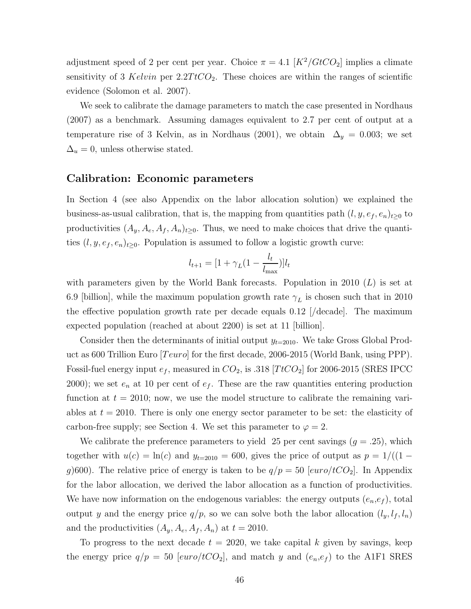adjustment speed of 2 per cent per year. Choice  $\pi = 4.1 \left[ K^2 / GtCO_2 \right]$  implies a climate sensitivity of 3 Kelvin per  $2.2TtCO<sub>2</sub>$ . These choices are within the ranges of scientific evidence (Solomon et al. 2007).

We seek to calibrate the damage parameters to match the case presented in Nordhaus (2007) as a benchmark. Assuming damages equivalent to 2.7 per cent of output at a temperature rise of 3 Kelvin, as in Nordhaus (2001), we obtain  $\Delta_y = 0.003$ ; we set  $\Delta_u = 0$ , unless otherwise stated.

#### Calibration: Economic parameters

In Section 4 (see also Appendix on the labor allocation solution) we explained the business-as-usual calibration, that is, the mapping from quantities path  $(l, y, e_f, e_n)_{t\geq 0}$  to productivities  $(A_y, A_e, A_f, A_n)_{t\geq 0}$ . Thus, we need to make choices that drive the quantities  $(l, y, e_f, e_n)_{t\geq 0}$ . Population is assumed to follow a logistic growth curve:

$$
l_{t+1} = [1 + \gamma_L(1 - \frac{l_t}{l_{\text{max}}})]l_t
$$

with parameters given by the World Bank forecasts. Population in 2010  $(L)$  is set at 6.9 [billion], while the maximum population growth rate  $\gamma_L$  is chosen such that in 2010 the effective population growth rate per decade equals  $0.12$  / $\rm \langle decade$ . The maximum expected population (reached at about 2200) is set at 11 [billion].

Consider then the determinants of initial output  $y_{t=2010}$ . We take Gross Global Product as 600 Trillion Euro  $[Teuro]$  for the first decade, 2006-2015 (World Bank, using PPP). Fossil-fuel energy input  $e_f$ , measured in  $CO_2$ , is .318 [TtCO<sub>2</sub>] for 2006-2015 (SRES IPCC 2000); we set  $e_n$  at 10 per cent of  $e_f$ . These are the raw quantities entering production function at  $t = 2010$ ; now, we use the model structure to calibrate the remaining variables at  $t = 2010$ . There is only one energy sector parameter to be set: the elasticity of carbon-free supply; see Section 4. We set this parameter to  $\varphi = 2$ .

We calibrate the preference parameters to yield 25 per cent savings  $(g = .25)$ , which together with  $u(c) = \ln(c)$  and  $y_{t=2010} = 600$ , gives the price of output as  $p = 1/((1$ g)600). The relative price of energy is taken to be  $q/p = 50$  [euro/tCO<sub>2</sub>]. In Appendix for the labor allocation, we derived the labor allocation as a function of productivities. We have now information on the endogenous variables: the energy outputs  $(e_n, e_f)$ , total output y and the energy price  $q/p$ , so we can solve both the labor allocation  $(l_y, l_f, l_n)$ and the productivities  $(A_y, A_e, A_f, A_n)$  at  $t = 2010$ .

To progress to the next decade  $t = 2020$ , we take capital k given by savings, keep the energy price  $q/p = 50$  [euro/tCO<sub>2</sub>], and match y and  $(e_n, e_f)$  to the A1F1 SRES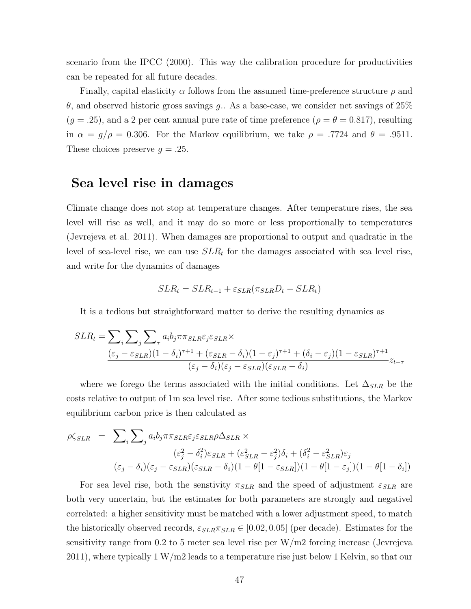scenario from the IPCC (2000). This way the calibration procedure for productivities can be repeated for all future decades.

Finally, capital elasticity  $\alpha$  follows from the assumed time-preference structure  $\rho$  and θ, and observed historic gross savings g.. As a base-case, we consider net savings of 25%  $(g = .25)$ , and a 2 per cent annual pure rate of time preference  $(\rho = \theta = 0.817)$ , resulting in  $\alpha = g/\rho = 0.306$ . For the Markov equilibrium, we take  $\rho = .7724$  and  $\theta = .9511$ . These choices preserve  $q = .25$ .

## Sea level rise in damages

Climate change does not stop at temperature changes. After temperature rises, the sea level will rise as well, and it may do so more or less proportionally to temperatures (Jevrejeva et al. 2011). When damages are proportional to output and quadratic in the level of sea-level rise, we can use  $SLR_t$  for the damages associated with sea level rise, and write for the dynamics of damages

$$
SLR_t = SLR_{t-1} + \varepsilon_{SLR}(\pi_{SLR}D_t - SLR_t)
$$

It is a tedious but straightforward matter to derive the resulting dynamics as

$$
SLR_t = \sum_{i} \sum_{j} \sum_{\tau} a_i b_j \pi \pi_{SLR} \varepsilon_j \varepsilon_{SLR} \times
$$
  

$$
\frac{(\varepsilon_j - \varepsilon_{SLR})(1 - \delta_i)^{\tau + 1} + (\varepsilon_{SLR} - \delta_i)(1 - \varepsilon_j)^{\tau + 1} + (\delta_i - \varepsilon_j)(1 - \varepsilon_{SLR})^{\tau + 1}}{(\varepsilon_j - \delta_i)(\varepsilon_j - \varepsilon_{SLR})(\varepsilon_{SLR} - \delta_i)} z_{t - \tau}
$$

where we forego the terms associated with the initial conditions. Let  $\Delta_{SLR}$  be the costs relative to output of 1m sea level rise. After some tedious substitutions, the Markov equilibrium carbon price is then calculated as

$$
\rho \zeta_{SLR} = \sum_{i} \sum_{j} a_{i} b_{j} \pi \pi_{SLR} \varepsilon_{j} \varepsilon_{SLR} \rho \Delta_{SLR} \times
$$
\n
$$
(\varepsilon_{j}^{2} - \delta_{i}^{2}) \varepsilon_{SLR} + (\varepsilon_{SLR}^{2} - \varepsilon_{j}^{2}) \delta_{i} + (\delta_{i}^{2} - \varepsilon_{SLR}^{2}) \varepsilon_{j}
$$
\n
$$
\overline{(\varepsilon_{j} - \delta_{i})(\varepsilon_{j} - \varepsilon_{SLR})(\varepsilon_{SLR} - \delta_{i})(1 - \theta[1 - \varepsilon_{SLR}])(1 - \theta[1 - \varepsilon_{j}])(1 - \theta[1 - \delta_{i}])}
$$

For sea level rise, both the senstivity  $\pi_{SLR}$  and the speed of adjustment  $\varepsilon_{SLR}$  are both very uncertain, but the estimates for both parameters are strongly and negativel correlated: a higher sensitivity must be matched with a lower adjustment speed, to match the historically observed records,  $\varepsilon_{SLR}\pi_{SLR} \in [0.02, 0.05]$  (per decade). Estimates for the sensitivity range from 0.2 to 5 meter sea level rise per W/m2 forcing increase (Jevrejeva 2011), where typically 1 W/m2 leads to a temperature rise just below 1 Kelvin, so that our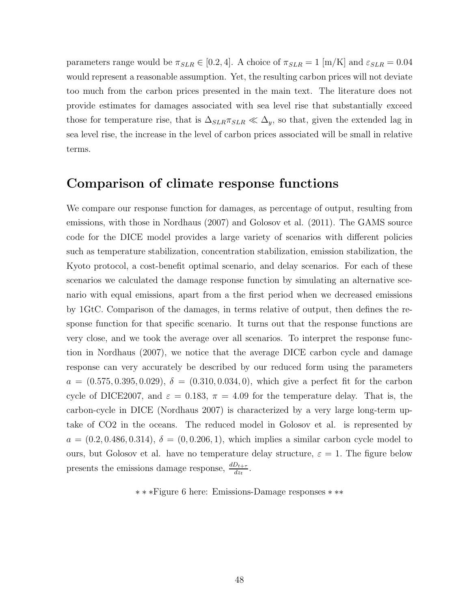parameters range would be  $\pi_{SLR} \in [0.2, 4]$ . A choice of  $\pi_{SLR} = 1$  [m/K] and  $\varepsilon_{SLR} = 0.04$ would represent a reasonable assumption. Yet, the resulting carbon prices will not deviate too much from the carbon prices presented in the main text. The literature does not provide estimates for damages associated with sea level rise that substantially exceed those for temperature rise, that is  $\Delta_{SLR} \pi_{SLR} \ll \Delta_y$ , so that, given the extended lag in sea level rise, the increase in the level of carbon prices associated will be small in relative terms.

## Comparison of climate response functions

We compare our response function for damages, as percentage of output, resulting from emissions, with those in Nordhaus (2007) and Golosov et al. (2011). The GAMS source code for the DICE model provides a large variety of scenarios with different policies such as temperature stabilization, concentration stabilization, emission stabilization, the Kyoto protocol, a cost-benefit optimal scenario, and delay scenarios. For each of these scenarios we calculated the damage response function by simulating an alternative scenario with equal emissions, apart from a the first period when we decreased emissions by 1GtC. Comparison of the damages, in terms relative of output, then defines the response function for that specific scenario. It turns out that the response functions are very close, and we took the average over all scenarios. To interpret the response function in Nordhaus (2007), we notice that the average DICE carbon cycle and damage response can very accurately be described by our reduced form using the parameters  $a = (0.575, 0.395, 0.029), \delta = (0.310, 0.034, 0),$  which give a perfect fit for the carbon cycle of DICE2007, and  $\varepsilon = 0.183$ ,  $\pi = 4.09$  for the temperature delay. That is, the carbon-cycle in DICE (Nordhaus 2007) is characterized by a very large long-term uptake of CO2 in the oceans. The reduced model in Golosov et al. is represented by  $a = (0.2, 0.486, 0.314), \delta = (0, 0.206, 1),$  which implies a similar carbon cycle model to ours, but Golosov et al. have no temperature delay structure,  $\varepsilon = 1$ . The figure below presents the emissions damage response,  $\frac{dD_{t+\tau}}{dz_t}$ .

∗ ∗ ∗Figure 6 here: Emissions-Damage responses ∗ ∗∗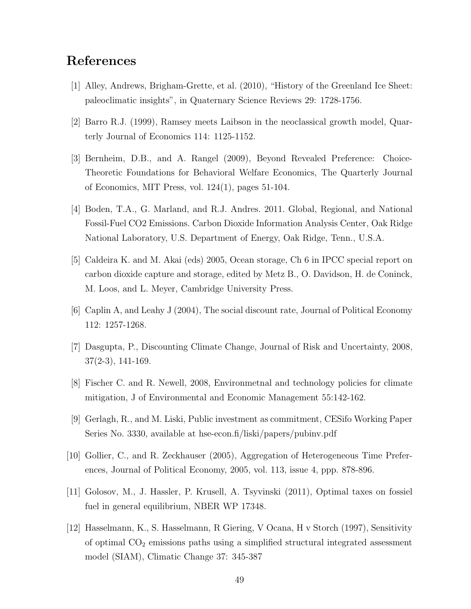# References

- [1] Alley, Andrews, Brigham-Grette, et al. (2010), "History of the Greenland Ice Sheet: paleoclimatic insights", in Quaternary Science Reviews 29: 1728-1756.
- [2] Barro R.J. (1999), Ramsey meets Laibson in the neoclassical growth model, Quarterly Journal of Economics 114: 1125-1152.
- [3] Bernheim, D.B., and A. Rangel (2009), Beyond Revealed Preference: Choice-Theoretic Foundations for Behavioral Welfare Economics, The Quarterly Journal of Economics, MIT Press, vol. 124(1), pages 51-104.
- [4] Boden, T.A., G. Marland, and R.J. Andres. 2011. Global, Regional, and National Fossil-Fuel CO2 Emissions. Carbon Dioxide Information Analysis Center, Oak Ridge National Laboratory, U.S. Department of Energy, Oak Ridge, Tenn., U.S.A.
- [5] Caldeira K. and M. Akai (eds) 2005, Ocean storage, Ch 6 in IPCC special report on carbon dioxide capture and storage, edited by Metz B., O. Davidson, H. de Coninck, M. Loos, and L. Meyer, Cambridge University Press.
- [6] Caplin A, and Leahy J (2004), The social discount rate, Journal of Political Economy 112: 1257-1268.
- [7] Dasgupta, P., Discounting Climate Change, Journal of Risk and Uncertainty, 2008, 37(2-3), 141-169.
- [8] Fischer C. and R. Newell, 2008, Environmetnal and technology policies for climate mitigation, J of Environmental and Economic Management 55:142-162.
- [9] Gerlagh, R., and M. Liski, Public investment as commitment, CESifo Working Paper Series No. 3330, available at hse-econ.fi/liski/papers/pubinv.pdf
- [10] Gollier, C., and R. Zeckhauser (2005), Aggregation of Heterogeneous Time Preferences, Journal of Political Economy, 2005, vol. 113, issue 4, ppp. 878-896.
- [11] Golosov, M., J. Hassler, P. Krusell, A. Tsyvinski (2011), Optimal taxes on fossiel fuel in general equilibrium, NBER WP 17348.
- [12] Hasselmann, K., S. Hasselmann, R Giering, V Ocana, H v Storch (1997), Sensitivity of optimal  $CO<sub>2</sub>$  emissions paths using a simplified structural integrated assessment model (SIAM), Climatic Change 37: 345-387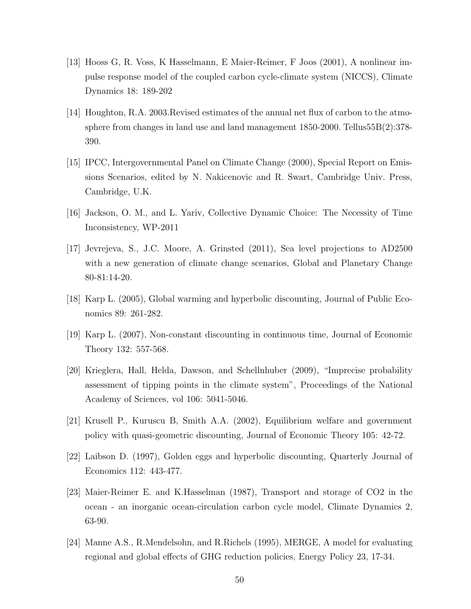- [13] Hooss G, R. Voss, K Hasselmann, E Maier-Reimer, F Joos (2001), A nonlinear impulse response model of the coupled carbon cycle-climate system (NICCS), Climate Dynamics 18: 189-202
- [14] Houghton, R.A. 2003.Revised estimates of the annual net flux of carbon to the atmosphere from changes in land use and land management 1850-2000. Tellus55B(2):378- 390.
- [15] IPCC, Intergovernmental Panel on Climate Change (2000), Special Report on Emissions Scenarios, edited by N. Nakicenovic and R. Swart, Cambridge Univ. Press, Cambridge, U.K.
- [16] Jackson, O. M., and L. Yariv, Collective Dynamic Choice: The Necessity of Time Inconsistency, WP-2011
- [17] Jevrejeva, S., J.C. Moore, A. Grinsted (2011), Sea level projections to AD2500 with a new generation of climate change scenarios, Global and Planetary Change 80-81:14-20.
- [18] Karp L. (2005), Global warming and hyperbolic discounting, Journal of Public Economics 89: 261-282.
- [19] Karp L. (2007), Non-constant discounting in continuous time, Journal of Economic Theory 132: 557-568.
- [20] Krieglera, Hall, Helda, Dawson, and Schellnhuber (2009), "Imprecise probability assessment of tipping points in the climate system", Proceedings of the National Academy of Sciences, vol 106: 5041-5046.
- [21] Krusell P., Kuruscu B, Smith A.A. (2002), Equilibrium welfare and government policy with quasi-geometric discounting, Journal of Economic Theory 105: 42-72.
- [22] Laibson D. (1997), Golden eggs and hyperbolic discounting, Quarterly Journal of Economics 112: 443-477.
- [23] Maier-Reimer E. and K.Hasselman (1987), Transport and storage of CO2 in the ocean - an inorganic ocean-circulation carbon cycle model, Climate Dynamics 2, 63-90.
- [24] Manne A.S., R.Mendelsohn, and R.Richels (1995), MERGE, A model for evaluating regional and global effects of GHG reduction policies, Energy Policy 23, 17-34.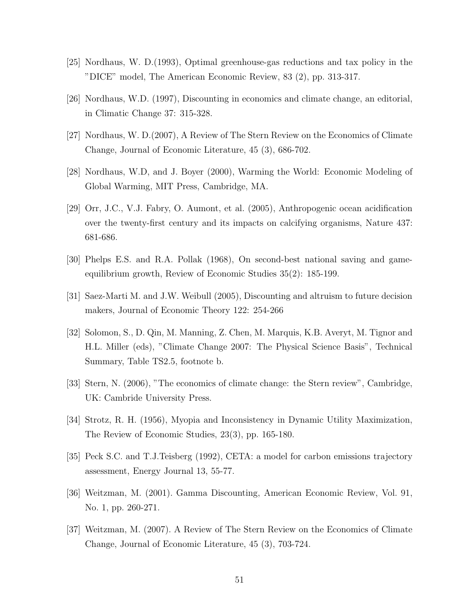- [25] Nordhaus, W. D.(1993), Optimal greenhouse-gas reductions and tax policy in the "DICE" model, The American Economic Review, 83 (2), pp. 313-317.
- [26] Nordhaus, W.D. (1997), Discounting in economics and climate change, an editorial, in Climatic Change 37: 315-328.
- [27] Nordhaus, W. D.(2007), A Review of The Stern Review on the Economics of Climate Change, Journal of Economic Literature, 45 (3), 686-702.
- [28] Nordhaus, W.D, and J. Boyer (2000), Warming the World: Economic Modeling of Global Warming, MIT Press, Cambridge, MA.
- [29] Orr, J.C., V.J. Fabry, O. Aumont, et al. (2005), Anthropogenic ocean acidification over the twenty-first century and its impacts on calcifying organisms, Nature 437: 681-686.
- [30] Phelps E.S. and R.A. Pollak (1968), On second-best national saving and gameequilibrium growth, Review of Economic Studies 35(2): 185-199.
- [31] Saez-Marti M. and J.W. Weibull (2005), Discounting and altruism to future decision makers, Journal of Economic Theory 122: 254-266
- [32] Solomon, S., D. Qin, M. Manning, Z. Chen, M. Marquis, K.B. Averyt, M. Tignor and H.L. Miller (eds), "Climate Change 2007: The Physical Science Basis", Technical Summary, Table TS2.5, footnote b.
- [33] Stern, N. (2006), "The economics of climate change: the Stern review", Cambridge, UK: Cambride University Press.
- [34] Strotz, R. H. (1956), Myopia and Inconsistency in Dynamic Utility Maximization, The Review of Economic Studies, 23(3), pp. 165-180.
- [35] Peck S.C. and T.J.Teisberg (1992), CETA: a model for carbon emissions trajectory assessment, Energy Journal 13, 55-77.
- [36] Weitzman, M. (2001). Gamma Discounting, American Economic Review, Vol. 91, No. 1, pp. 260-271.
- [37] Weitzman, M. (2007). A Review of The Stern Review on the Economics of Climate Change, Journal of Economic Literature, 45 (3), 703-724.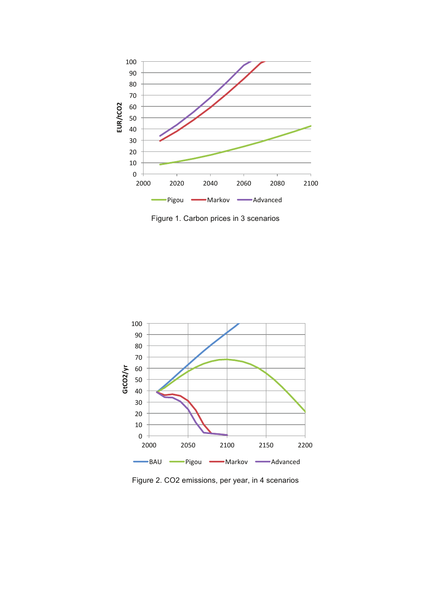

Figure 1. Carbon prices in 3 scenarios



Figure 2. CO2 emissions, per year, in 4 scenarios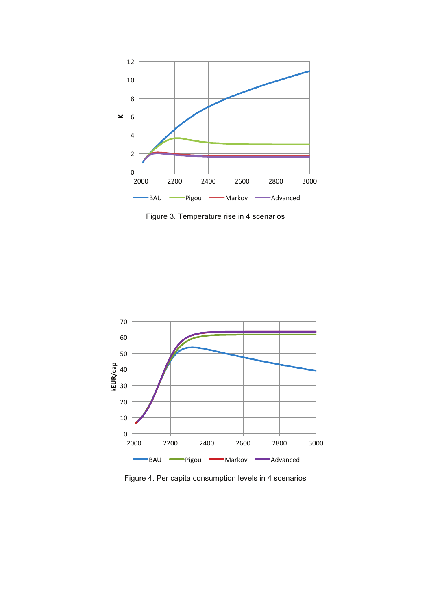

Figure 3. Temperature rise in 4 scenarios



Figure 4. Per capita consumption levels in 4 scenarios